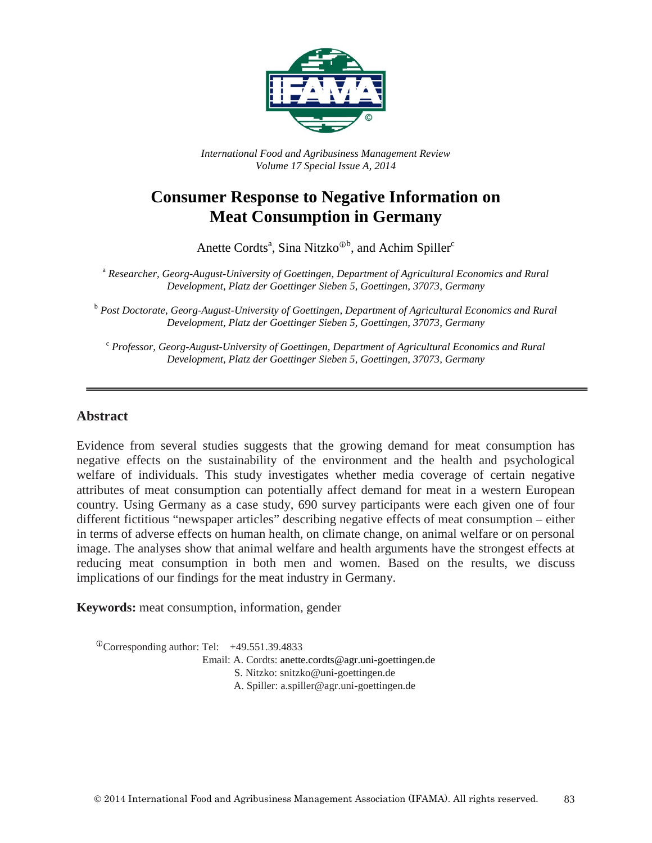

*International Food and Agribusiness Management Review Volume 17 Special Issue A, 2014*

# **Consumer Response to Negative Information on Meat Consumption in Germany**

Anette Cordts<sup>a</sup>, Sina Nitzko<sup> $\Phi$ b</sup>, and Achim Spiller<sup>c</sup>

<sup>a</sup> *Researcher, Georg-August-University of Goettingen, Department of Agricultural Economics and Rural Development, Platz der Goettinger Sieben 5, Goettingen, 37073, Germany*

<sup>b</sup> *Post Doctorate, Georg-August-University of Goettingen, Department of Agricultural Economics and Rural Development, Platz der Goettinger Sieben 5, Goettingen, 37073, Germany*

<sup>c</sup> *Professor, Georg-August-University of Goettingen, Department of Agricultural Economics and Rural Development, Platz der Goettinger Sieben 5, Goettingen, 37073, Germany*

#### **Abstract**

Evidence from several studies suggests that the growing demand for meat consumption has negative effects on the sustainability of the environment and the health and psychological welfare of individuals. This study investigates whether media coverage of certain negative attributes of meat consumption can potentially affect demand for meat in a western European country. Using Germany as a case study, 690 survey participants were each given one of four different fictitious "newspaper articles" describing negative effects of meat consumption – either in terms of adverse effects on human health, on climate change, on animal welfare or on personal image. The analyses show that animal welfare and health arguments have the strongest effects at reducing meat consumption in both men and women. Based on the results, we discuss implications of our findings for the meat industry in Germany.

**Keywords:** meat consumption, information, gender

 $^{\circ}$ Corresponding author: Tel: +49.551.39.4833

Email: A. Cordts: anette.cordts@agr.uni-goettingen.de

S. Nitzko: snitzko@uni-goettingen.de

A..Spiller: a.spiller@agr.uni-goettingen.de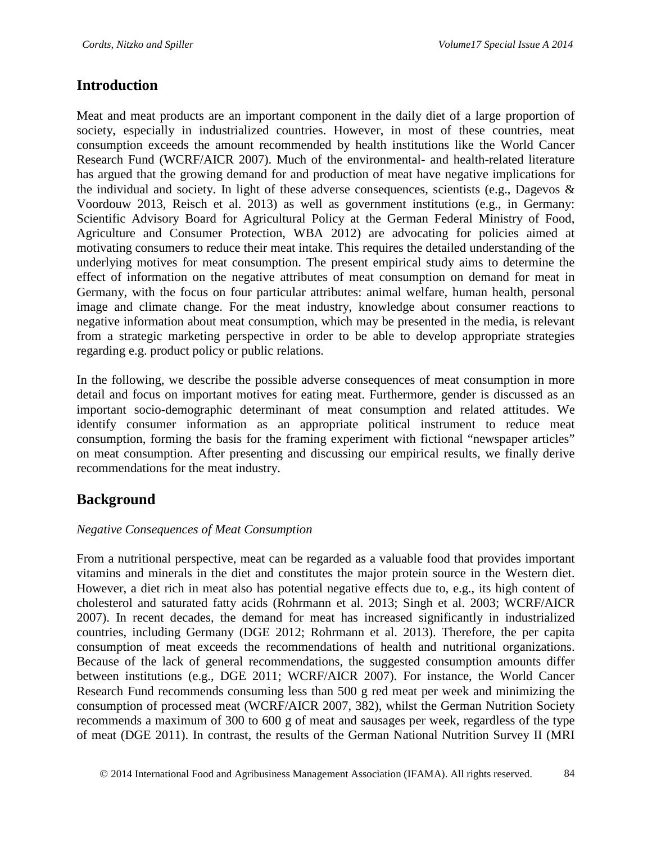## **Introduction**

Meat and meat products are an important component in the daily diet of a large proportion of society, especially in industrialized countries. However, in most of these countries, meat consumption exceeds the amount recommended by health institutions like the World Cancer Research Fund (WCRF/AICR 2007). Much of the environmental- and health-related literature has argued that the growing demand for and production of meat have negative implications for the individual and society. In light of these adverse consequences, scientists (e.g., Dagevos & Voordouw 2013, Reisch et al. 2013) as well as government institutions (e.g., in Germany: Scientific Advisory Board for Agricultural Policy at the German Federal Ministry of Food, Agriculture and Consumer Protection, WBA 2012) are advocating for policies aimed at motivating consumers to reduce their meat intake. This requires the detailed understanding of the underlying motives for meat consumption. The present empirical study aims to determine the effect of information on the negative attributes of meat consumption on demand for meat in Germany, with the focus on four particular attributes: animal welfare, human health, personal image and climate change. For the meat industry, knowledge about consumer reactions to negative information about meat consumption, which may be presented in the media, is relevant from a strategic marketing perspective in order to be able to develop appropriate strategies regarding e.g. product policy or public relations.

In the following, we describe the possible adverse consequences of meat consumption in more detail and focus on important motives for eating meat. Furthermore, gender is discussed as an important socio-demographic determinant of meat consumption and related attitudes. We identify consumer information as an appropriate political instrument to reduce meat consumption, forming the basis for the framing experiment with fictional "newspaper articles" on meat consumption. After presenting and discussing our empirical results, we finally derive recommendations for the meat industry.

# **Background**

#### *Negative Consequences of Meat Consumption*

From a nutritional perspective, meat can be regarded as a valuable food that provides important vitamins and minerals in the diet and constitutes the major protein source in the Western diet. However, a diet rich in meat also has potential negative effects due to, e.g., its high content of cholesterol and saturated fatty acids (Rohrmann et al. 2013; Singh et al. 2003; WCRF/AICR 2007). In recent decades, the demand for meat has increased significantly in industrialized countries, including Germany (DGE 2012; Rohrmann et al. 2013). Therefore, the per capita consumption of meat exceeds the recommendations of health and nutritional organizations. Because of the lack of general recommendations, the suggested consumption amounts differ between institutions (e.g., DGE 2011; WCRF/AICR 2007). For instance, the World Cancer Research Fund recommends consuming less than 500 g red meat per week and minimizing the consumption of processed meat (WCRF/AICR 2007, 382), whilst the German Nutrition Society recommends a maximum of 300 to 600 g of meat and sausages per week, regardless of the type of meat (DGE 2011). In contrast, the results of the German National Nutrition Survey II (MRI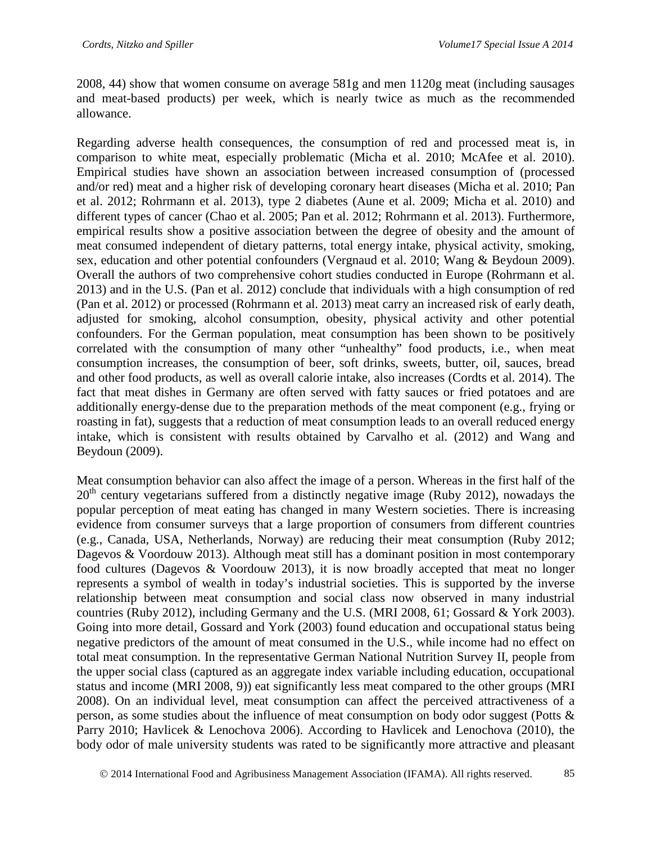2008, 44) show that women consume on average 581g and men 1120g meat (including sausages and meat-based products) per week, which is nearly twice as much as the recommended allowance.

Regarding adverse health consequences, the consumption of red and processed meat is, in comparison to white meat, especially problematic (Micha et al. 2010; McAfee et al. 2010). Empirical studies have shown an association between increased consumption of (processed and/or red) meat and a higher risk of developing coronary heart diseases (Micha et al. 2010; Pan et al. 2012; Rohrmann et al. 2013), type 2 diabetes (Aune et al. 2009; Micha et al. 2010) and different types of cancer (Chao et al. 2005; Pan et al. 2012; Rohrmann et al. 2013). Furthermore, empirical results show a positive association between the degree of obesity and the amount of meat consumed independent of dietary patterns, total energy intake, physical activity, smoking, sex, education and other potential confounders (Vergnaud et al. 2010; Wang & Beydoun 2009). Overall the authors of two comprehensive cohort studies conducted in Europe (Rohrmann et al. 2013) and in the U.S. (Pan et al. 2012) conclude that individuals with a high consumption of red (Pan et al. 2012) or processed (Rohrmann et al. 2013) meat carry an increased risk of early death, adjusted for smoking, alcohol consumption, obesity, physical activity and other potential confounders. For the German population, meat consumption has been shown to be positively correlated with the consumption of many other "unhealthy" food products, i.e., when meat consumption increases, the consumption of beer, soft drinks, sweets, butter, oil, sauces, bread and other food products, as well as overall calorie intake, also increases (Cordts et al. 2014). The fact that meat dishes in Germany are often served with fatty sauces or fried potatoes and are additionally energy-dense due to the preparation methods of the meat component (e.g., frying or roasting in fat), suggests that a reduction of meat consumption leads to an overall reduced energy intake, which is consistent with results obtained by Carvalho et al. (2012) and Wang and Beydoun (2009).

Meat consumption behavior can also affect the image of a person. Whereas in the first half of the  $20<sup>th</sup>$  century vegetarians suffered from a distinctly negative image (Ruby 2012), nowadays the popular perception of meat eating has changed in many Western societies. There is increasing evidence from consumer surveys that a large proportion of consumers from different countries (e.g., Canada, USA, Netherlands, Norway) are reducing their meat consumption (Ruby 2012; Dagevos & Voordouw 2013). Although meat still has a dominant position in most contemporary food cultures (Dagevos & Voordouw 2013), it is now broadly accepted that meat no longer represents a symbol of wealth in today's industrial societies. This is supported by the inverse relationship between meat consumption and social class now observed in many industrial countries (Ruby 2012), including Germany and the U.S. (MRI 2008, 61; Gossard & York 2003). Going into more detail, Gossard and York (2003) found education and occupational status being negative predictors of the amount of meat consumed in the U.S., while income had no effect on total meat consumption. In the representative German National Nutrition Survey II, people from the upper social class (captured as an aggregate index variable including education, occupational status and income (MRI 2008, 9)) eat significantly less meat compared to the other groups (MRI 2008). On an individual level, meat consumption can affect the perceived attractiveness of a person, as some studies about the influence of meat consumption on body odor suggest (Potts & Parry 2010; Havlicek & Lenochova 2006). According to Havlicek and Lenochova (2010), the body odor of male university students was rated to be significantly more attractive and pleasant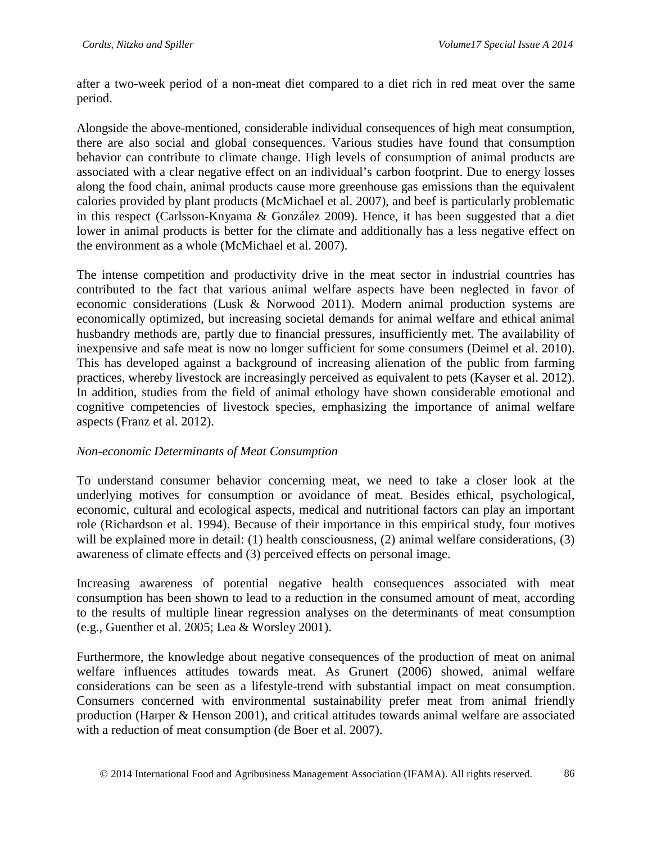after a two-week period of a non-meat diet compared to a diet rich in red meat over the same period.

Alongside the above-mentioned, considerable individual consequences of high meat consumption, there are also social and global consequences. Various studies have found that consumption behavior can contribute to climate change. High levels of consumption of animal products are associated with a clear negative effect on an individual's carbon footprint. Due to energy losses along the food chain, animal products cause more greenhouse gas emissions than the equivalent calories provided by plant products (McMichael et al. 2007), and beef is particularly problematic in this respect (Carlsson-Knyama & González 2009). Hence, it has been suggested that a diet lower in animal products is better for the climate and additionally has a less negative effect on the environment as a whole (McMichael et al. 2007).

The intense competition and productivity drive in the meat sector in industrial countries has contributed to the fact that various animal welfare aspects have been neglected in favor of economic considerations (Lusk & Norwood 2011). Modern animal production systems are economically optimized, but increasing societal demands for animal welfare and ethical animal husbandry methods are, partly due to financial pressures, insufficiently met. The availability of inexpensive and safe meat is now no longer sufficient for some consumers (Deimel et al. 2010). This has developed against a background of increasing alienation of the public from farming practices, whereby livestock are increasingly perceived as equivalent to pets (Kayser et al. 2012). In addition, studies from the field of animal ethology have shown considerable emotional and cognitive competencies of livestock species, emphasizing the importance of animal welfare aspects (Franz et al. 2012).

#### *Non-economic Determinants of Meat Consumption*

To understand consumer behavior concerning meat, we need to take a closer look at the underlying motives for consumption or avoidance of meat. Besides ethical, psychological, economic, cultural and ecological aspects, medical and nutritional factors can play an important role (Richardson et al. 1994). Because of their importance in this empirical study, four motives will be explained more in detail: (1) health consciousness, (2) animal welfare considerations, (3) awareness of climate effects and (3) perceived effects on personal image.

Increasing awareness of potential negative health consequences associated with meat consumption has been shown to lead to a reduction in the consumed amount of meat, according to the results of multiple linear regression analyses on the determinants of meat consumption (e.g., Guenther et al. 2005; Lea & Worsley 2001).

Furthermore, the knowledge about negative consequences of the production of meat on animal welfare influences attitudes towards meat. As Grunert (2006) showed, animal welfare considerations can be seen as a lifestyle-trend with substantial impact on meat consumption. Consumers concerned with environmental sustainability prefer meat from animal friendly production (Harper & Henson 2001), and critical attitudes towards animal welfare are associated with a reduction of meat consumption (de Boer et al. 2007).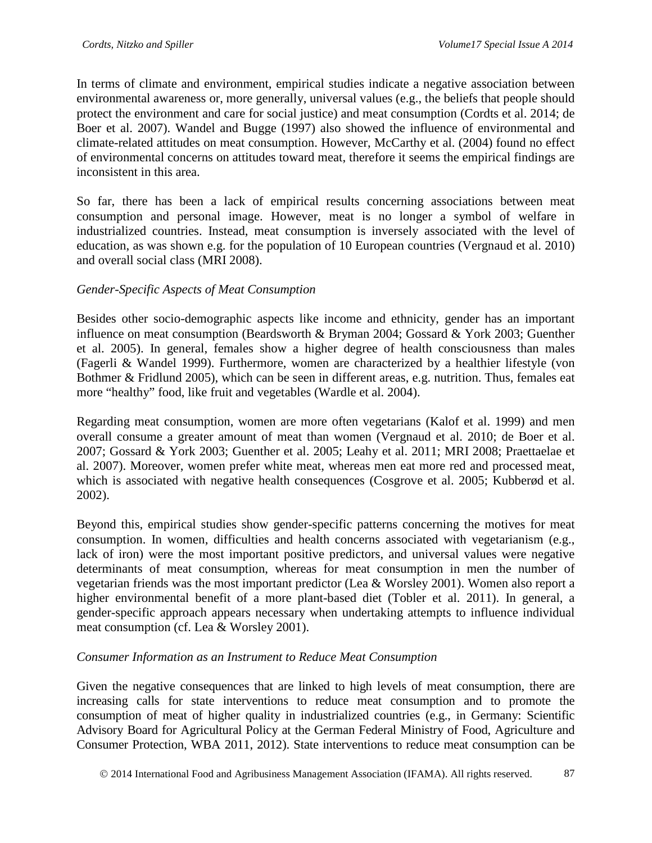In terms of climate and environment, empirical studies indicate a negative association between environmental awareness or, more generally, universal values (e.g., the beliefs that people should protect the environment and care for social justice) and meat consumption (Cordts et al. 2014; de Boer et al. 2007). Wandel and Bugge (1997) also showed the influence of environmental and climate-related attitudes on meat consumption. However, McCarthy et al. (2004) found no effect of environmental concerns on attitudes toward meat, therefore it seems the empirical findings are inconsistent in this area.

So far, there has been a lack of empirical results concerning associations between meat consumption and personal image. However, meat is no longer a symbol of welfare in industrialized countries. Instead, meat consumption is inversely associated with the level of education, as was shown e.g. for the population of 10 European countries (Vergnaud et al. 2010) and overall social class (MRI 2008).

## *Gender-Specific Aspects of Meat Consumption*

Besides other socio-demographic aspects like income and ethnicity, gender has an important influence on meat consumption (Beardsworth & Bryman 2004; Gossard & York 2003; Guenther et al. 2005). In general, females show a higher degree of health consciousness than males (Fagerli & Wandel 1999). Furthermore, women are characterized by a healthier lifestyle (von Bothmer & Fridlund 2005), which can be seen in different areas, e.g. nutrition. Thus, females eat more "healthy" food, like fruit and vegetables (Wardle et al. 2004).

Regarding meat consumption, women are more often vegetarians (Kalof et al. 1999) and men overall consume a greater amount of meat than women (Vergnaud et al. 2010; de Boer et al. 2007; Gossard & York 2003; Guenther et al. 2005; Leahy et al. 2011; MRI 2008; Praettaelae et al. 2007). Moreover, women prefer white meat, whereas men eat more red and processed meat, which is associated with negative health consequences (Cosgrove et al. 2005; Kubberød et al. 2002).

Beyond this, empirical studies show gender-specific patterns concerning the motives for meat consumption. In women, difficulties and health concerns associated with vegetarianism (e.g., lack of iron) were the most important positive predictors, and universal values were negative determinants of meat consumption, whereas for meat consumption in men the number of vegetarian friends was the most important predictor (Lea & Worsley 2001). Women also report a higher environmental benefit of a more plant-based diet (Tobler et al. 2011). In general, a gender-specific approach appears necessary when undertaking attempts to influence individual meat consumption (cf. Lea & Worsley 2001).

#### *Consumer Information as an Instrument to Reduce Meat Consumption*

Given the negative consequences that are linked to high levels of meat consumption, there are increasing calls for state interventions to reduce meat consumption and to promote the consumption of meat of higher quality in industrialized countries (e.g., in Germany: Scientific Advisory Board for Agricultural Policy at the German Federal Ministry of Food, Agriculture and Consumer Protection, WBA 2011, 2012). State interventions to reduce meat consumption can be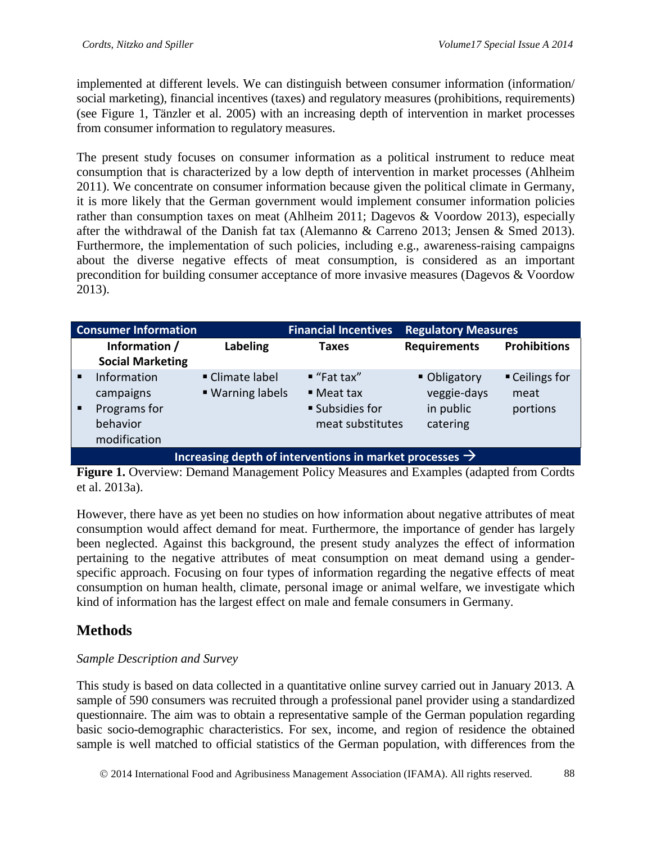implemented at different levels. We can distinguish between consumer information (information/ social marketing), financial incentives (taxes) and regulatory measures (prohibitions, requirements) (see Figure 1, Tänzler et al. 2005) with an increasing depth of intervention in market processes from consumer information to regulatory measures.

The present study focuses on consumer information as a political instrument to reduce meat consumption that is characterized by a low depth of intervention in market processes (Ahlheim 2011). We concentrate on consumer information because given the political climate in Germany, it is more likely that the German government would implement consumer information policies rather than consumption taxes on meat (Ahlheim 2011; Dagevos & Voordow 2013), especially after the withdrawal of the Danish fat tax (Alemanno & Carreno 2013; Jensen & Smed 2013). Furthermore, the implementation of such policies, including e.g., awareness-raising campaigns about the diverse negative effects of meat consumption, is considered as an important precondition for building consumer acceptance of more invasive measures (Dagevos & Voordow 2013).

| <b>Consumer Information</b> |                                                                                                             | <b>Financial Incentives</b> | <b>Regulatory Measures</b>                                                     |                                                                                            |                     |  |  |  |
|-----------------------------|-------------------------------------------------------------------------------------------------------------|-----------------------------|--------------------------------------------------------------------------------|--------------------------------------------------------------------------------------------|---------------------|--|--|--|
|                             | Information /<br><b>Social Marketing</b>                                                                    | <b>Labeling</b>             | Taxes                                                                          | <b>Requirements</b>                                                                        | <b>Prohibitions</b> |  |  |  |
| $\blacksquare$              | Information<br>• Climate label<br>■ Warning labels<br>campaigns<br>Programs for<br>behavior<br>modification |                             | $"$ Fat tax"<br>$\blacksquare$ Meat tax<br>■ Subsidies for<br>meat substitutes | ■ Ceilings for<br>■ Obligatory<br>veggie-days<br>meat<br>in public<br>portions<br>catering |                     |  |  |  |
|                             | Increasing depth of interventions in market processes $\rightarrow$                                         |                             |                                                                                |                                                                                            |                     |  |  |  |

Figure 1. Overview: Demand Management Policy Measures and Examples (adapted from Cordts et al. 2013a).

However, there have as yet been no studies on how information about negative attributes of meat consumption would affect demand for meat. Furthermore, the importance of gender has largely been neglected. Against this background, the present study analyzes the effect of information pertaining to the negative attributes of meat consumption on meat demand using a genderspecific approach. Focusing on four types of information regarding the negative effects of meat consumption on human health, climate, personal image or animal welfare, we investigate which kind of information has the largest effect on male and female consumers in Germany.

# **Methods**

## *Sample Description and Survey*

This study is based on data collected in a quantitative online survey carried out in January 2013. A sample of 590 consumers was recruited through a professional panel provider using a standardized questionnaire. The aim was to obtain a representative sample of the German population regarding basic socio-demographic characteristics. For sex, income, and region of residence the obtained sample is well matched to official statistics of the German population, with differences from the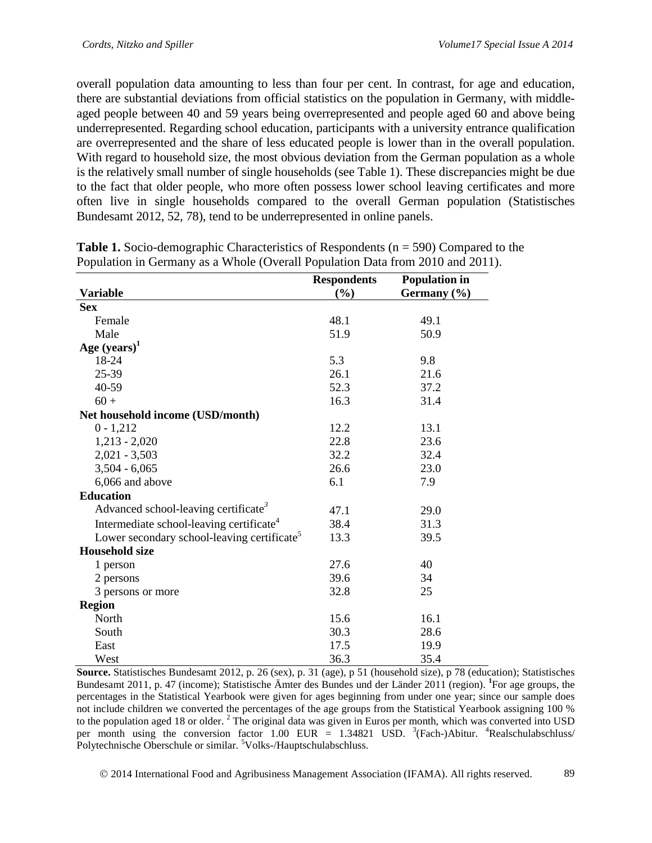overall population data amounting to less than four per cent. In contrast, for age and education, there are substantial deviations from official statistics on the population in Germany, with middleaged people between 40 and 59 years being overrepresented and people aged 60 and above being underrepresented. Regarding school education, participants with a university entrance qualification are overrepresented and the share of less educated people is lower than in the overall population. With regard to household size, the most obvious deviation from the German population as a whole is the relatively small number of single households (see Table 1). These discrepancies might be due to the fact that older people, who more often possess lower school leaving certificates and more often live in single households compared to the overall German population (Statistisches Bundesamt 2012, 52, 78), tend to be underrepresented in online panels.

|                                                         | <b>Respondents</b> | <b>Population in</b> |
|---------------------------------------------------------|--------------------|----------------------|
| <b>Variable</b>                                         | (%)                | Germany (%)          |
| <b>Sex</b>                                              |                    |                      |
| Female                                                  | 48.1               | 49.1                 |
| Male                                                    | 51.9               | 50.9                 |
| Age $(years)^1$                                         |                    |                      |
| 18-24                                                   | 5.3                | 9.8                  |
| 25-39                                                   | 26.1               | 21.6                 |
| 40-59                                                   | 52.3               | 37.2                 |
| $60 +$                                                  | 16.3               | 31.4                 |
| Net household income (USD/month)                        |                    |                      |
| $0 - 1,212$                                             | 12.2               | 13.1                 |
| $1,213 - 2,020$                                         | 22.8               | 23.6                 |
| $2,021 - 3,503$                                         | 32.2               | 32.4                 |
| $3,504 - 6,065$                                         | 26.6               | 23.0                 |
| 6,066 and above                                         | 6.1                | 7.9                  |
| <b>Education</b>                                        |                    |                      |
| Advanced school-leaving certificate <sup>3</sup>        | 47.1               | 29.0                 |
| Intermediate school-leaving certificate <sup>4</sup>    | 38.4               | 31.3                 |
| Lower secondary school-leaving certificate <sup>5</sup> | 13.3               | 39.5                 |
| <b>Household size</b>                                   |                    |                      |
| 1 person                                                | 27.6               | 40                   |
| 2 persons                                               | 39.6               | 34                   |
| 3 persons or more                                       | 32.8               | 25                   |
| <b>Region</b>                                           |                    |                      |
| North                                                   | 15.6               | 16.1                 |
| South                                                   | 30.3               | 28.6                 |
| East                                                    | 17.5               | 19.9                 |
| West                                                    | 36.3               | 35.4                 |

**Table 1.** Socio-demographic Characteristics of Respondents (n = 590) Compared to the Population in Germany as a Whole (Overall Population Data from 2010 and 2011).

**Source.** Statistisches Bundesamt 2012, p. 26 (sex), p. 31 (age), p 51 (household size), p 78 (education); Statistisches Bundesamt 2011, p. 47 (income); Statistische Ämter des Bundes und der Länder 2011 (region). **<sup>1</sup>** For age groups, the percentages in the Statistical Yearbook were given for ages beginning from under one year; since our sample does not include children we converted the percentages of the age groups from the Statistical Yearbook assigning 100 % to the population aged 18 or older. <sup>2</sup> The original data was given in Euros per month, which was converted into USD per month using the conversion factor 1.00 EUR = 1.34821 USD.  $3$ (Fach-)Abitur.  $4$ Realschulabschluss/ Polytechnische Oberschule or similar. <sup>5</sup>Volks-/Hauptschulabschluss.

2014 International Food and Agribusiness Management Association (IFAMA). All rights reserved. 89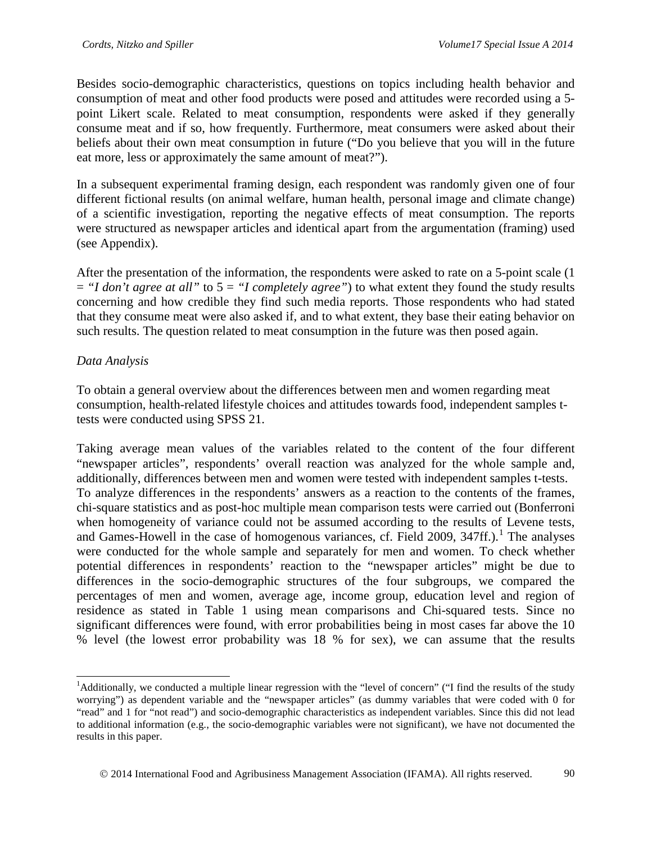Besides socio-demographic characteristics, questions on topics including health behavior and consumption of meat and other food products were posed and attitudes were recorded using a 5 point Likert scale. Related to meat consumption, respondents were asked if they generally consume meat and if so, how frequently. Furthermore, meat consumers were asked about their beliefs about their own meat consumption in future ("Do you believe that you will in the future eat more, less or approximately the same amount of meat?").

In a subsequent experimental framing design, each respondent was randomly given one of four different fictional results (on animal welfare, human health, personal image and climate change) of a scientific investigation, reporting the negative effects of meat consumption. The reports were structured as newspaper articles and identical apart from the argumentation (framing) used (see Appendix).

After the presentation of the information, the respondents were asked to rate on a 5-point scale (1 = *"I don't agree at all"* to 5 = *"I completely agree"*) to what extent they found the study results concerning and how credible they find such media reports. Those respondents who had stated that they consume meat were also asked if, and to what extent, they base their eating behavior on such results. The question related to meat consumption in the future was then posed again.

#### *Data Analysis*

To obtain a general overview about the differences between men and women regarding meat consumption, health-related lifestyle choices and attitudes towards food, independent samples ttests were conducted using SPSS 21.

Taking average mean values of the variables related to the content of the four different "newspaper articles", respondents' overall reaction was analyzed for the whole sample and, additionally, differences between men and women were tested with independent samples t-tests. To analyze differences in the respondents' answers as a reaction to the contents of the frames, chi-square statistics and as post-hoc multiple mean comparison tests were carried out (Bonferroni when homogeneity of variance could not be assumed according to the results of Levene tests, and Games-Howell in the case of homogenous variances, cf. Field 2009,  $347ff$ .).<sup>[1](#page-7-0)</sup> The analyses were conducted for the whole sample and separately for men and women. To check whether potential differences in respondents' reaction to the "newspaper articles" might be due to differences in the socio-demographic structures of the four subgroups, we compared the percentages of men and women, average age, income group, education level and region of residence as stated in Table 1 using mean comparisons and Chi-squared tests. Since no significant differences were found, with error probabilities being in most cases far above the 10 % level (the lowest error probability was 18 % for sex), we can assume that the results

<span id="page-7-0"></span><sup>&</sup>lt;sup>1</sup>Additionally, we conducted a multiple linear regression with the "level of concern" ("I find the results of the study worrying") as dependent variable and the "newspaper articles" (as dummy variables that were coded with 0 for "read" and 1 for "not read") and socio-demographic characteristics as independent variables. Since this did not lead to additional information (e.g., the socio-demographic variables were not significant), we have not documented the results in this paper.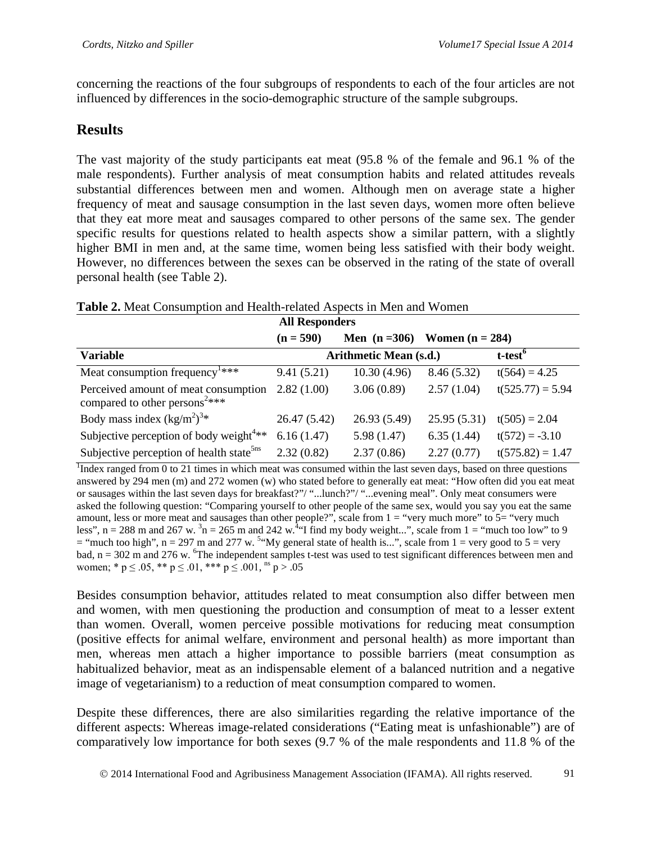concerning the reactions of the four subgroups of respondents to each of the four articles are not influenced by differences in the socio-demographic structure of the sample subgroups.

# **Results**

The vast majority of the study participants eat meat (95.8 % of the female and 96.1 % of the male respondents). Further analysis of meat consumption habits and related attitudes reveals substantial differences between men and women. Although men on average state a higher frequency of meat and sausage consumption in the last seven days, women more often believe that they eat more meat and sausages compared to other persons of the same sex. The gender specific results for questions related to health aspects show a similar pattern, with a slightly higher BMI in men and, at the same time, women being less satisfied with their body weight. However, no differences between the sexes can be observed in the rating of the state of overall personal health (see Table 2).

| <b>All Responders</b>                                                             |              |                                   |             |                     |  |  |
|-----------------------------------------------------------------------------------|--------------|-----------------------------------|-------------|---------------------|--|--|
|                                                                                   | $(n = 590)$  | Men $(n = 306)$ Women $(n = 284)$ |             |                     |  |  |
| <b>Variable</b>                                                                   |              | <b>Arithmetic Mean (s.d.)</b>     |             | t-test <sup>6</sup> |  |  |
| Meat consumption frequency <sup>1****</sup>                                       | 9.41(5.21)   | 10.30(4.96)                       | 8.46 (5.32) | $t(564) = 4.25$     |  |  |
| Perceived amount of meat consumption<br>compared to other persons <sup>2***</sup> | 2.82(1.00)   | 3.06(0.89)                        | 2.57(1.04)  | $t(525.77) = 5.94$  |  |  |
| Body mass index $(kg/m^2)^{3*}$                                                   | 26.47 (5.42) | 26.93 (5.49)                      | 25.95(5.31) | $t(505) = 2.04$     |  |  |
| Subjective perception of body weight <sup>4**</sup>                               | 6.16(1.47)   | 5.98(1.47)                        | 6.35(1.44)  | $t(572) = -3.10$    |  |  |
| Subjective perception of health state <sup>5ns</sup>                              | 2.32(0.82)   | 2.37(0.86)                        | 2.27(0.77)  | $t(575.82) = 1.47$  |  |  |

#### **Table 2.** Meat Consumption and Health-related Aspects in Men and Women

<sup>1</sup>Index ranged from 0 to 21 times in which meat was consumed within the last seven days, based on three questions answered by 294 men (m) and 272 women (w) who stated before to generally eat meat: "How often did you eat meat or sausages within the last seven days for breakfast?"/ "...lunch?"/ "...evening meal". Only meat consumers were asked the following question: "Comparing yourself to other people of the same sex, would you say you eat the same amount, less or more meat and sausages than other people?", scale from  $1 =$  "very much more" to  $5 =$  "very much less",  $n = 288$  m and  $267$  w.  $\frac{3}{n} = 265$  m and  $242$  w.  $\frac{3}{n}$  find my body weight...", scale from  $1 = \frac{3}{n}$  much too low" to 9 = "much too high",  $n = 297$  m and 277 w. <sup>5</sup> "My general state of health is...", scale from  $1 =$  very good to  $5 =$  very bad, n = 302 m and 276 w. <sup>6</sup>The independent samples t-test was used to test significant differences between men and women; \*  $p \le 0.05$ , \*\*  $p \le 0.01$ , \*\*\*  $p \le 0.001$ , <sup>ns</sup>  $p > 0.05$ 

Besides consumption behavior, attitudes related to meat consumption also differ between men and women, with men questioning the production and consumption of meat to a lesser extent than women. Overall, women perceive possible motivations for reducing meat consumption (positive effects for animal welfare, environment and personal health) as more important than men, whereas men attach a higher importance to possible barriers (meat consumption as habitualized behavior, meat as an indispensable element of a balanced nutrition and a negative image of vegetarianism) to a reduction of meat consumption compared to women.

Despite these differences, there are also similarities regarding the relative importance of the different aspects: Whereas image-related considerations ("Eating meat is unfashionable") are of comparatively low importance for both sexes (9.7 % of the male respondents and 11.8 % of the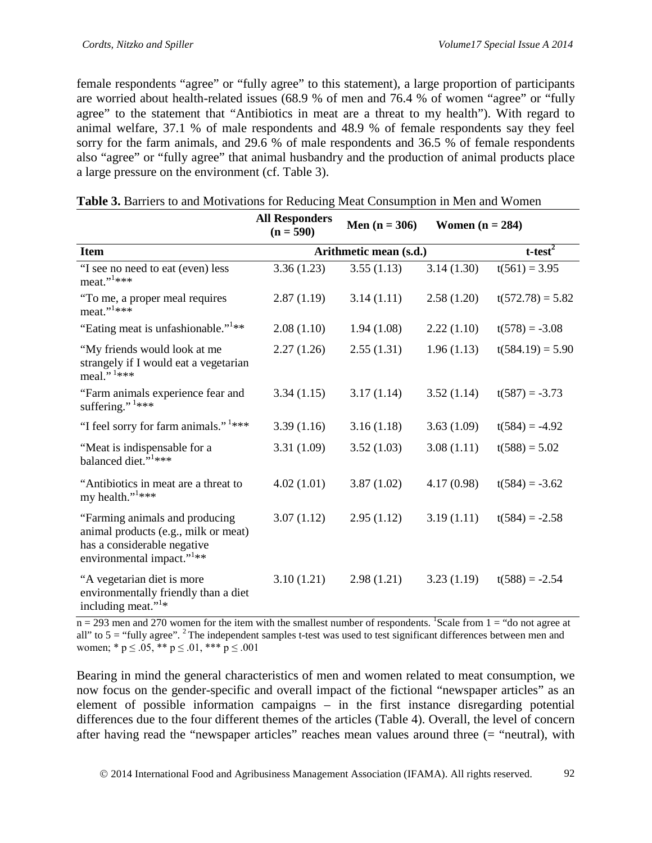female respondents "agree" or "fully agree" to this statement), a large proportion of participants are worried about health-related issues (68.9 % of men and 76.4 % of women "agree" or "fully agree" to the statement that "Antibiotics in meat are a threat to my health"). With regard to animal welfare, 37.1 % of male respondents and 48.9 % of female respondents say they feel sorry for the farm animals, and 29.6 % of male respondents and 36.5 % of female respondents also "agree" or "fully agree" that animal husbandry and the production of animal products place a large pressure on the environment (cf. Table 3).

|                                                                                                                                                | <b>All Responders</b><br>Men $(n = 306)$<br>$(n = 590)$ |            | Women $(n = 284)$ |                    |  |
|------------------------------------------------------------------------------------------------------------------------------------------------|---------------------------------------------------------|------------|-------------------|--------------------|--|
| <b>Item</b>                                                                                                                                    | Arithmetic mean (s.d.)                                  |            | $t-test2$         |                    |  |
| "I see no need to eat (even) less<br>$meat.$ ", $1***$                                                                                         | 3.36(1.23)                                              | 3.55(1.13) | 3.14(1.30)        | $t(561) = 3.95$    |  |
| "To me, a proper meal requires<br>$meat.$ <sup>"***</sup>                                                                                      | 2.87(1.19)                                              | 3.14(1.11) | 2.58(1.20)        | $t(572.78) = 5.82$ |  |
| "Eating meat is unfashionable." <sup>1**</sup>                                                                                                 | 2.08(1.10)                                              | 1.94(1.08) | 2.22(1.10)        | $t(578) = -3.08$   |  |
| "My friends would look at me<br>strangely if I would eat a vegetarian<br>meal." <sup>1***</sup>                                                | 2.27(1.26)                                              | 2.55(1.31) | 1.96(1.13)        | $t(584.19) = 5.90$ |  |
| "Farm animals experience fear and<br>suffering." $1***$                                                                                        | 3.34(1.15)                                              | 3.17(1.14) | 3.52(1.14)        | $t(587) = -3.73$   |  |
| "I feel sorry for farm animals." <sup>1***</sup>                                                                                               | 3.39(1.16)                                              | 3.16(1.18) | 3.63(1.09)        | $t(584) = -4.92$   |  |
| "Meat is indispensable for a<br>balanced diet." <sup>1</sup> ***                                                                               | 3.31(1.09)                                              | 3.52(1.03) | 3.08(1.11)        | $t(588) = 5.02$    |  |
| "Antibiotics in meat are a threat to<br>my health." <sup>1***</sup>                                                                            | 4.02(1.01)                                              | 3.87(1.02) | 4.17(0.98)        | $t(584) = -3.62$   |  |
| "Farming animals and producing<br>animal products (e.g., milk or meat)<br>has a considerable negative<br>environmental impact." <sup>1**</sup> | 3.07(1.12)                                              | 2.95(1.12) | 3.19(1.11)        | $t(584) = -2.58$   |  |
| "A vegetarian diet is more<br>environmentally friendly than a diet<br>including meat." <sup>1*</sup>                                           | 3.10(1.21)                                              | 2.98(1.21) | 3.23(1.19)        | $t(588) = -2.54$   |  |

| Table 3. Barriers to and Motivations for Reducing Meat Consumption in Men and Women |  |
|-------------------------------------------------------------------------------------|--|
|-------------------------------------------------------------------------------------|--|

 $n = 293$  men and 270 women for the item with the smallest number of respondents. <sup>1</sup>Scale from 1 = "do not agree at all" to  $5 =$  "fully agree". <sup>2</sup> The independent samples t-test was used to test significant differences between men and women; \*  $p \le 0.05$ , \*\*  $p \le 0.01$ , \*\*\*  $p \le 0.001$ 

Bearing in mind the general characteristics of men and women related to meat consumption, we now focus on the gender-specific and overall impact of the fictional "newspaper articles" as an element of possible information campaigns – in the first instance disregarding potential differences due to the four different themes of the articles (Table 4). Overall, the level of concern after having read the "newspaper articles" reaches mean values around three (= "neutral), with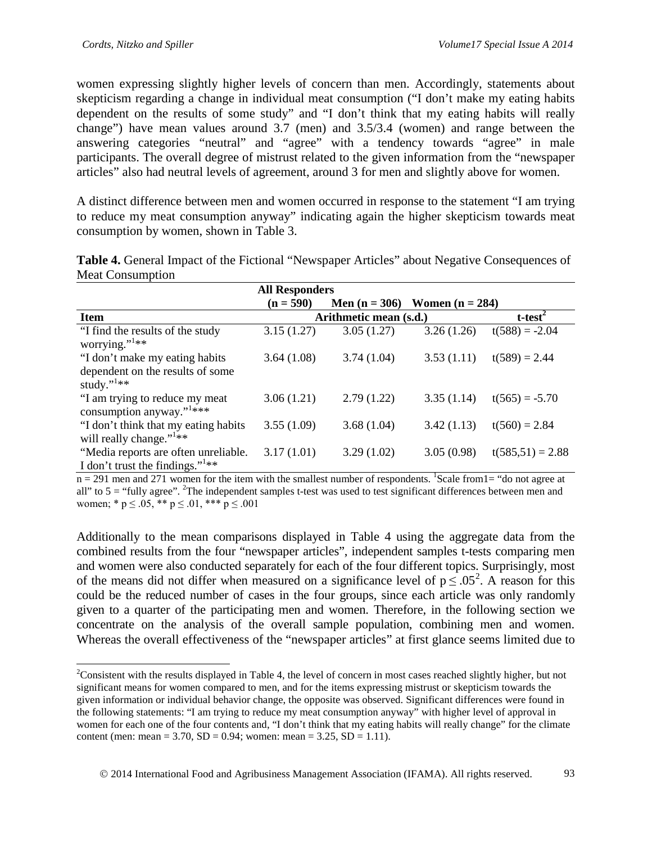women expressing slightly higher levels of concern than men. Accordingly, statements about skepticism regarding a change in individual meat consumption ("I don't make my eating habits dependent on the results of some study" and "I don't think that my eating habits will really change") have mean values around 3.7 (men) and 3.5/3.4 (women) and range between the answering categories "neutral" and "agree" with a tendency towards "agree" in male participants. The overall degree of mistrust related to the given information from the "newspaper articles" also had neutral levels of agreement, around 3 for men and slightly above for women.

A distinct difference between men and women occurred in response to the statement "I am trying to reduce my meat consumption anyway" indicating again the higher skepticism towards meat consumption by women, shown in Table 3.

|                                       | <b>All Responders</b> |                        |                   |                    |  |  |
|---------------------------------------|-----------------------|------------------------|-------------------|--------------------|--|--|
|                                       | $(n = 590)$           | Men $(n = 306)$        | Women $(n = 284)$ |                    |  |  |
| <b>Item</b>                           |                       | Arithmetic mean (s.d.) |                   | $t-test2$          |  |  |
| "I find the results of the study"     | 3.15(1.27)            | 3.05(1.27)             | 3.26(1.26)        | $t(588) = -2.04$   |  |  |
| worrying." $*$                        |                       |                        |                   |                    |  |  |
| "I don't make my eating habits        | 3.64(1.08)            | 3.74(1.04)             | 3.53(1.11)        | $t(589) = 2.44$    |  |  |
| dependent on the results of some      |                       |                        |                   |                    |  |  |
| study." $*$                           |                       |                        |                   |                    |  |  |
| "I am trying to reduce my meat        | 3.06(1.21)            | 2.79(1.22)             | 3.35(1.14)        | $t(565) = -5.70$   |  |  |
| consumption anyway." <sup>1****</sup> |                       |                        |                   |                    |  |  |
| "I don't think that my eating habits  | 3.55(1.09)            | 3.68(1.04)             | 3.42(1.13)        | $t(560) = 2.84$    |  |  |
| will really change." $1**$            |                       |                        |                   |                    |  |  |
| "Media reports are often unreliable.  | 3.17(1.01)            | 3.29(1.02)             | 3.05(0.98)        | $t(585,51) = 2.88$ |  |  |
| I don't trust the findings." $1**$    |                       |                        |                   |                    |  |  |

**Table 4.** General Impact of the Fictional "Newspaper Articles" about Negative Consequences of Meat Consumption

 $n = 291$  men and 271 women for the item with the smallest number of respondents. <sup>1</sup>Scale from 1 = "do not agree at all" to  $5 =$  "fully agree". <sup>2</sup>The independent samples t-test was used to test significant differences between men and women; \*  $p \le 0.05$ , \*\*  $p \le 0.01$ , \*\*\*  $p \le 0.001$ 

Additionally to the mean comparisons displayed in Table 4 using the aggregate data from the combined results from the four "newspaper articles", independent samples t-tests comparing men and women were also conducted separately for each of the four different topics. Surprisingly, most of the means did not differ when measured on a significance level of  $p \le 0.05^2$  $p \le 0.05^2$ . A reason for this could be the reduced number of cases in the four groups, since each article was only randomly given to a quarter of the participating men and women. Therefore, in the following section we concentrate on the analysis of the overall sample population, combining men and women. Whereas the overall effectiveness of the "newspaper articles" at first glance seems limited due to

<span id="page-10-0"></span><sup>&</sup>lt;sup>2</sup>Consistent with the results displayed in Table 4, the level of concern in most cases reached slightly higher, but not significant means for women compared to men, and for the items expressing mistrust or skepticism towards the given information or individual behavior change, the opposite was observed. Significant differences were found in the following statements: "I am trying to reduce my meat consumption anyway" with higher level of approval in women for each one of the four contents and, "I don't think that my eating habits will really change" for the climate content (men: mean =  $3.70$ , SD =  $0.94$ ; women: mean =  $3.25$ , SD =  $1.11$ ).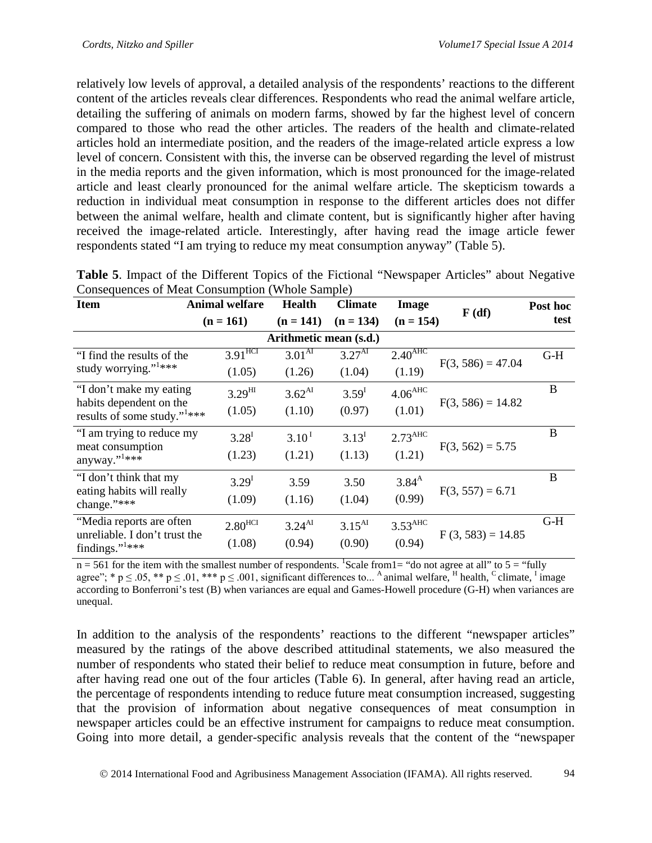relatively low levels of approval, a detailed analysis of the respondents' reactions to the different content of the articles reveals clear differences. Respondents who read the animal welfare article, detailing the suffering of animals on modern farms, showed by far the highest level of concern compared to those who read the other articles. The readers of the health and climate-related articles hold an intermediate position, and the readers of the image-related article express a low level of concern. Consistent with this, the inverse can be observed regarding the level of mistrust in the media reports and the given information, which is most pronounced for the image-related article and least clearly pronounced for the animal welfare article. The skepticism towards a reduction in individual meat consumption in response to the different articles does not differ between the animal welfare, health and climate content, but is significantly higher after having received the image-related article. Interestingly, after having read the image article fewer respondents stated "I am trying to reduce my meat consumption anyway" (Table 5).

| Consequences of Meat Consumption (Whole Sample)                     |                       |                        |                    |                       |                     |          |  |  |  |
|---------------------------------------------------------------------|-----------------------|------------------------|--------------------|-----------------------|---------------------|----------|--|--|--|
| <b>Item</b>                                                         | <b>Animal welfare</b> | <b>Health</b>          | <b>Climate</b>     | <b>Image</b>          | F(df)               | Post hoc |  |  |  |
|                                                                     | $(n = 161)$           | $(n = 141)$            | $(n = 134)$        | $(n = 154)$           |                     | test     |  |  |  |
|                                                                     |                       | Arithmetic mean (s.d.) |                    |                       |                     |          |  |  |  |
| "I find the results of the                                          | $3.91$ <sup>HCT</sup> | 3.01 <sup>AT</sup>     | 3.27 <sup>AI</sup> | 2.40 <sup>ABC</sup>   |                     | $G-H$    |  |  |  |
| study worrying." <sup>1***</sup>                                    | (1.05)                | (1.26)                 | (1.04)             | (1.19)                | $F(3, 586) = 47.04$ |          |  |  |  |
| "I don't make my eating                                             | $3.29^{HI}$           | $3.62^{AI}$            | 3.59 <sup>I</sup>  | 4.06 <sup>AHC</sup>   |                     | B        |  |  |  |
| habits dependent on the<br>results of some study." <sup>1****</sup> | (1.05)                | (1.10)                 | (0.97)             | (1.01)                | $F(3, 586) = 14.82$ |          |  |  |  |
| "I am trying to reduce my                                           | $3.28^{I}$            | $3.10^{1}$             | $3.13^{I}$         | $2.73$ <sup>AHC</sup> |                     | B        |  |  |  |
| meat consumption<br>anyway." <sup>1***</sup>                        | (1.23)                | (1.21)                 | (1.13)             | (1.21)                | $F(3, 562) = 5.75$  |          |  |  |  |
| "I don't think that my                                              | 3.29 <sup>I</sup>     | 3.59                   | 3.50               | $3.84^{A}$            |                     | B        |  |  |  |
| eating habits will really<br>change."***                            | (1.09)                | (1.16)                 | (1.04)             | (0.99)                | $F(3, 557) = 6.71$  |          |  |  |  |
| "Media reports are often                                            | $2.80$ <sup>HCI</sup> | $3.24^{AI}$            | $3.15^{AI}$        | 3.53 <sup>AHC</sup>   |                     | $G-H$    |  |  |  |
| unreliable. I don't trust the<br>findings." <sup>1</sup> ***        | (1.08)                | (0.94)                 | (0.90)             | (0.94)                | $F(3, 583) = 14.85$ |          |  |  |  |

| <b>Table 5.</b> Impact of the Different Topics of the Fictional "Newspaper Articles" about Negative |  |  |
|-----------------------------------------------------------------------------------------------------|--|--|
| Consequences of Meat Consumption (Whole Sample)                                                     |  |  |

 $n = 561$  for the item with the smallest number of respondents. <sup>1</sup>Scale from 1 = "do not agree at all" to 5 = "fully agree"; \*  $p \le 0.05$ , \*\*  $p \le 0.01$ , \*\*\*  $p \le 0.001$ , significant differences to... <sup>A</sup> animal welfare, <sup>H</sup> health, <sup>C</sup> climate, <sup>I</sup> image according to Bonferroni's test (B) when variances are equal and Games-Howell procedure (G-H) when variances are unequal.

In addition to the analysis of the respondents' reactions to the different "newspaper articles" measured by the ratings of the above described attitudinal statements, we also measured the number of respondents who stated their belief to reduce meat consumption in future, before and after having read one out of the four articles (Table 6). In general, after having read an article, the percentage of respondents intending to reduce future meat consumption increased, suggesting that the provision of information about negative consequences of meat consumption in newspaper articles could be an effective instrument for campaigns to reduce meat consumption. Going into more detail, a gender-specific analysis reveals that the content of the "newspaper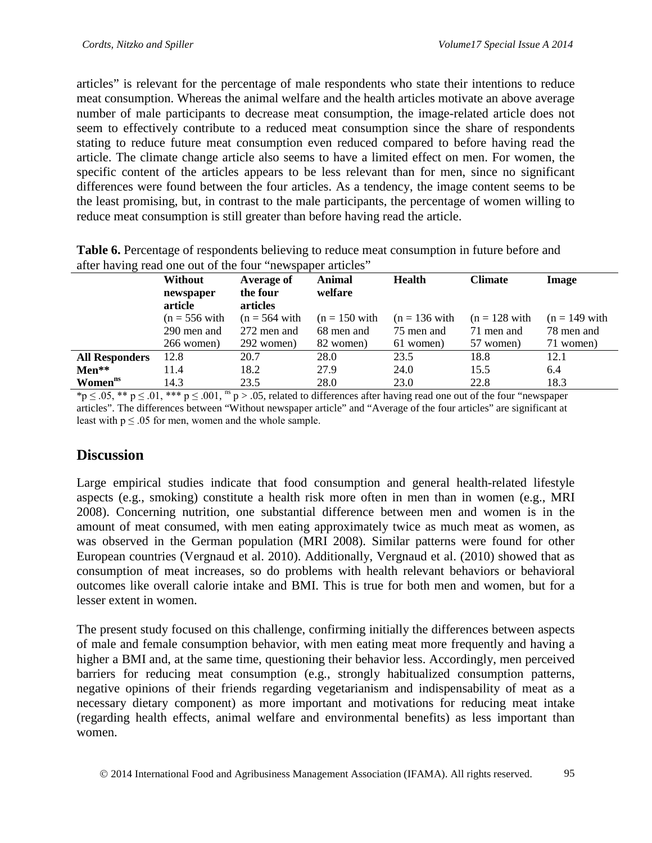articles" is relevant for the percentage of male respondents who state their intentions to reduce meat consumption. Whereas the animal welfare and the health articles motivate an above average number of male participants to decrease meat consumption, the image-related article does not seem to effectively contribute to a reduced meat consumption since the share of respondents stating to reduce future meat consumption even reduced compared to before having read the article. The climate change article also seems to have a limited effect on men. For women, the specific content of the articles appears to be less relevant than for men, since no significant differences were found between the four articles. As a tendency, the image content seems to be the least promising, but, in contrast to the male participants, the percentage of women willing to reduce meat consumption is still greater than before having read the article.

| after having read one out of the four mewspaper articles |                      |                      |                 |                 |                 |                 |  |  |
|----------------------------------------------------------|----------------------|----------------------|-----------------|-----------------|-----------------|-----------------|--|--|
|                                                          | <b>Without</b>       | Average of           | Animal          | <b>Health</b>   | <b>Climate</b>  | Image           |  |  |
|                                                          | newspaper<br>article | the four<br>articles | welfare         |                 |                 |                 |  |  |
|                                                          | $(n = 556$ with      | $(n = 564$ with      | $(n = 150$ with | $(n = 136$ with | $(n = 128$ with | $(n = 149$ with |  |  |
|                                                          | 290 men and          | 272 men and          | 68 men and      | 75 men and      | 71 men and      | 78 men and      |  |  |
|                                                          | 266 women)           | 292 women)           | 82 women)       | 61 women)       | 57 women)       | 71 women)       |  |  |
| <b>All Responders</b>                                    | 12.8                 | 20.7                 | 28.0            | 23.5            | 18.8            | 12.1            |  |  |
| $Men**$                                                  | 11.4                 | 18.2                 | 27.9            | 24.0            | 15.5            | 6.4             |  |  |
| Women <sup>ns</sup>                                      | 14.3                 | 23.5                 | 28.0            | 23.0            | 22.8            | 18.3            |  |  |

**Table 6.** Percentage of respondents believing to reduce meat consumption in future before and after having read one out of the four "newspaper articles"

 $np \le 0.05$ , \*\*  $p \le 0.01$ , \*\*\*  $p \le 0.001$ , <sup>ns</sup>  $p > 0.05$ , related to differences after having read one out of the four "newspaper" articles". The differences between "Without newspaper article" and "Average of the four articles" are significant at least with  $p \leq 0.05$  for men, women and the whole sample.

## **Discussion**

Large empirical studies indicate that food consumption and general health-related lifestyle aspects (e.g., smoking) constitute a health risk more often in men than in women (e.g., MRI 2008). Concerning nutrition, one substantial difference between men and women is in the amount of meat consumed, with men eating approximately twice as much meat as women, as was observed in the German population (MRI 2008). Similar patterns were found for other European countries (Vergnaud et al. 2010). Additionally, Vergnaud et al. (2010) showed that as consumption of meat increases, so do problems with health relevant behaviors or behavioral outcomes like overall calorie intake and BMI. This is true for both men and women, but for a lesser extent in women.

The present study focused on this challenge, confirming initially the differences between aspects of male and female consumption behavior, with men eating meat more frequently and having a higher a BMI and, at the same time, questioning their behavior less. Accordingly, men perceived barriers for reducing meat consumption (e.g., strongly habitualized consumption patterns, negative opinions of their friends regarding vegetarianism and indispensability of meat as a necessary dietary component) as more important and motivations for reducing meat intake (regarding health effects, animal welfare and environmental benefits) as less important than women.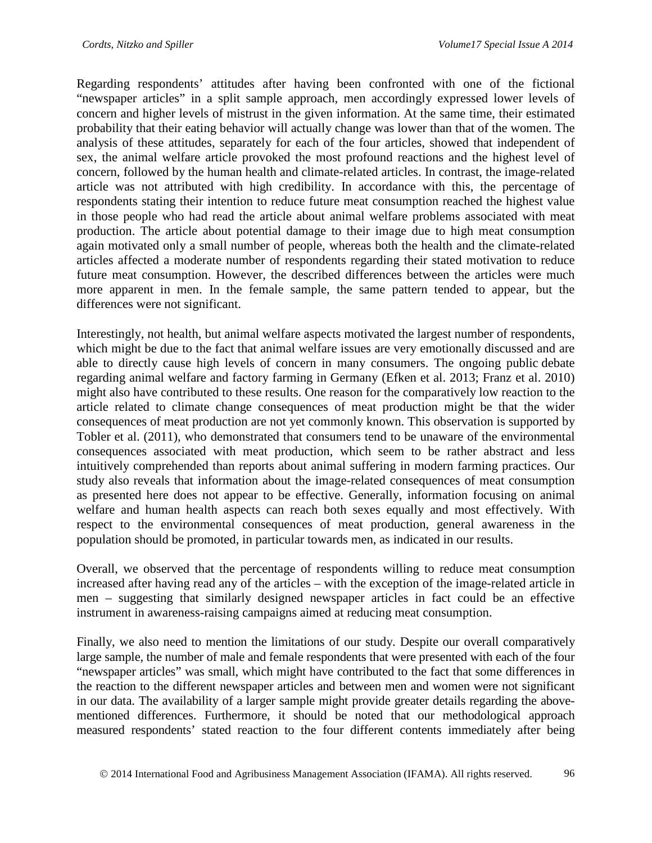Regarding respondents' attitudes after having been confronted with one of the fictional "newspaper articles" in a split sample approach, men accordingly expressed lower levels of concern and higher levels of mistrust in the given information. At the same time, their estimated probability that their eating behavior will actually change was lower than that of the women. The analysis of these attitudes, separately for each of the four articles, showed that independent of sex, the animal welfare article provoked the most profound reactions and the highest level of concern, followed by the human health and climate-related articles. In contrast, the image-related article was not attributed with high credibility. In accordance with this, the percentage of respondents stating their intention to reduce future meat consumption reached the highest value in those people who had read the article about animal welfare problems associated with meat production. The article about potential damage to their image due to high meat consumption again motivated only a small number of people, whereas both the health and the climate-related articles affected a moderate number of respondents regarding their stated motivation to reduce future meat consumption. However, the described differences between the articles were much more apparent in men. In the female sample, the same pattern tended to appear, but the differences were not significant.

Interestingly, not health, but animal welfare aspects motivated the largest number of respondents, which might be due to the fact that animal welfare issues are very emotionally discussed and are able to directly cause high levels of concern in many consumers. The ongoing public debate regarding animal welfare and factory farming in Germany (Efken et al. 2013; Franz et al. 2010) might also have contributed to these results. One reason for the comparatively low reaction to the article related to climate change consequences of meat production might be that the wider consequences of meat production are not yet commonly known. This observation is supported by Tobler et al. (2011), who demonstrated that consumers tend to be unaware of the environmental consequences associated with meat production, which seem to be rather abstract and less intuitively comprehended than reports about animal suffering in modern farming practices. Our study also reveals that information about the image-related consequences of meat consumption as presented here does not appear to be effective. Generally, information focusing on animal welfare and human health aspects can reach both sexes equally and most effectively. With respect to the environmental consequences of meat production, general awareness in the population should be promoted, in particular towards men, as indicated in our results.

Overall, we observed that the percentage of respondents willing to reduce meat consumption increased after having read any of the articles – with the exception of the image-related article in men – suggesting that similarly designed newspaper articles in fact could be an effective instrument in awareness-raising campaigns aimed at reducing meat consumption.

Finally, we also need to mention the limitations of our study. Despite our overall comparatively large sample, the number of male and female respondents that were presented with each of the four "newspaper articles" was small, which might have contributed to the fact that some differences in the reaction to the different newspaper articles and between men and women were not significant in our data. The availability of a larger sample might provide greater details regarding the abovementioned differences. Furthermore, it should be noted that our methodological approach measured respondents' stated reaction to the four different contents immediately after being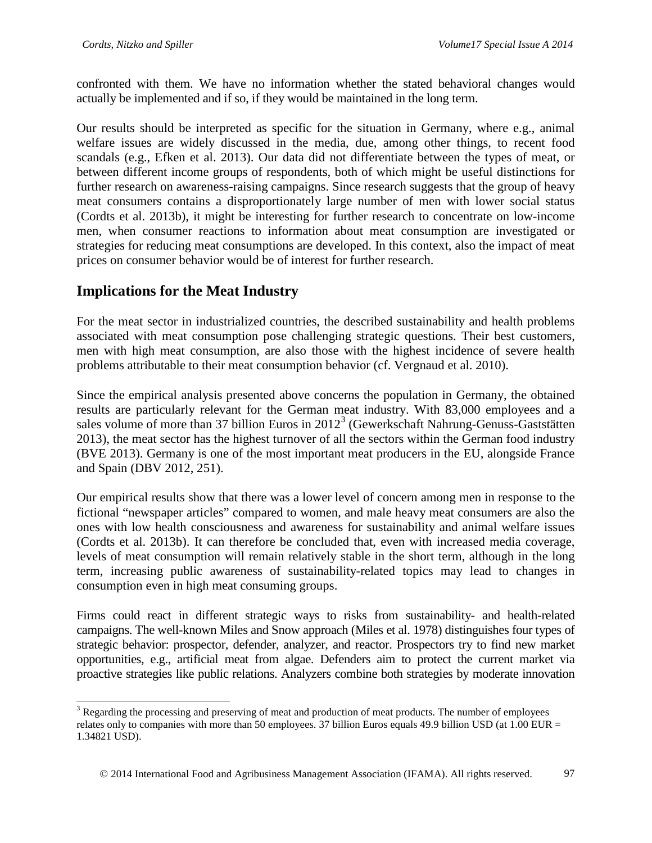confronted with them. We have no information whether the stated behavioral changes would actually be implemented and if so, if they would be maintained in the long term.

Our results should be interpreted as specific for the situation in Germany, where e.g., animal welfare issues are widely discussed in the media, due, among other things, to recent food scandals (e.g., Efken et al. 2013). Our data did not differentiate between the types of meat, or between different income groups of respondents, both of which might be useful distinctions for further research on awareness-raising campaigns. Since research suggests that the group of heavy meat consumers contains a disproportionately large number of men with lower social status (Cordts et al. 2013b), it might be interesting for further research to concentrate on low-income men, when consumer reactions to information about meat consumption are investigated or strategies for reducing meat consumptions are developed. In this context, also the impact of meat prices on consumer behavior would be of interest for further research.

# **Implications for the Meat Industry**

For the meat sector in industrialized countries, the described sustainability and health problems associated with meat consumption pose challenging strategic questions. Their best customers, men with high meat consumption, are also those with the highest incidence of severe health problems attributable to their meat consumption behavior (cf. Vergnaud et al. 2010).

Since the empirical analysis presented above concerns the population in Germany, the obtained results are particularly relevant for the German meat industry. With 83,000 employees and a sales volume of more than [3](#page-14-0)7 billion Euros in 2012<sup>3</sup> (Gewerkschaft Nahrung-Genuss-Gaststätten 2013), the meat sector has the highest turnover of all the sectors within the German food industry (BVE 2013). Germany is one of the most important meat producers in the EU, alongside France and Spain (DBV 2012, 251).

Our empirical results show that there was a lower level of concern among men in response to the fictional "newspaper articles" compared to women, and male heavy meat consumers are also the ones with low health consciousness and awareness for sustainability and animal welfare issues (Cordts et al. 2013b). It can therefore be concluded that, even with increased media coverage, levels of meat consumption will remain relatively stable in the short term, although in the long term, increasing public awareness of sustainability-related topics may lead to changes in consumption even in high meat consuming groups.

Firms could react in different strategic ways to risks from sustainability- and health-related campaigns. The well-known Miles and Snow approach (Miles et al. 1978) distinguishes four types of strategic behavior: prospector, defender, analyzer, and reactor. Prospectors try to find new market opportunities, e.g., artificial meat from algae. Defenders aim to protect the current market via proactive strategies like public relations. Analyzers combine both strategies by moderate innovation

<span id="page-14-0"></span><sup>&</sup>lt;sup>3</sup> Regarding the processing and preserving of meat and production of meat products. The number of employees relates only to companies with more than 50 employees. 37 billion Euros equals 49.9 billion USD (at 1.00 EUR = 1.34821 USD).

2014 International Food and Agribusiness Management Association (IFAMA). All rights reserved. 97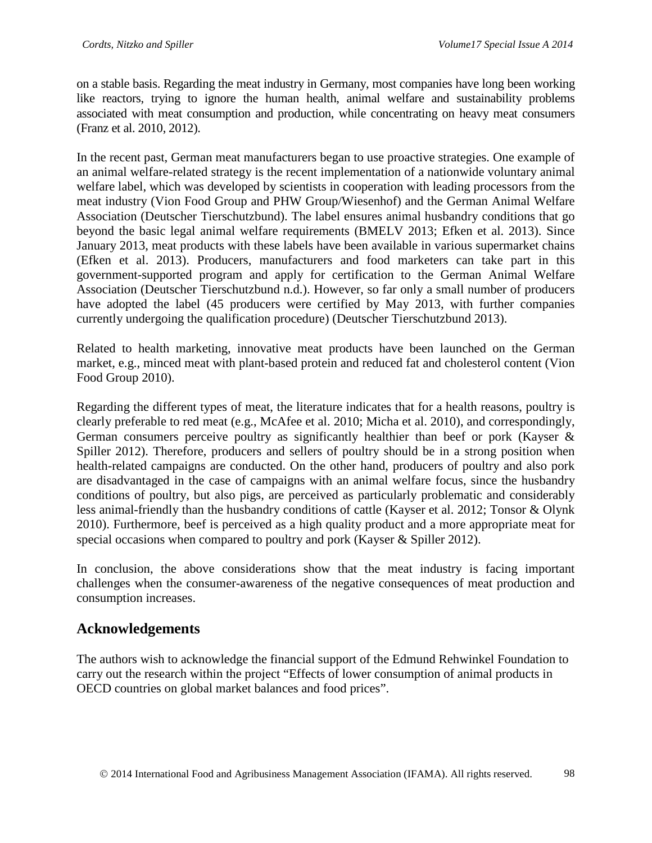on a stable basis. Regarding the meat industry in Germany, most companies have long been working like reactors, trying to ignore the human health, animal welfare and sustainability problems associated with meat consumption and production, while concentrating on heavy meat consumers (Franz et al. 2010, 2012).

In the recent past, German meat manufacturers began to use proactive strategies. One example of an animal welfare-related strategy is the recent implementation of a nationwide voluntary animal welfare label, which was developed by scientists in cooperation with leading processors from the meat industry (Vion Food Group and PHW Group/Wiesenhof) and the German Animal Welfare Association (Deutscher Tierschutzbund). The label ensures animal husbandry conditions that go beyond the basic legal animal welfare requirements (BMELV 2013; Efken et al. 2013). Since January 2013, meat products with these labels have been available in various supermarket chains (Efken et al. 2013). Producers, manufacturers and food marketers can take part in this government-supported program and apply for certification to the German Animal Welfare Association (Deutscher Tierschutzbund n.d.). However, so far only a small number of producers have adopted the label (45 producers were certified by May 2013, with further companies currently undergoing the qualification procedure) (Deutscher Tierschutzbund 2013).

Related to health marketing, innovative meat products have been launched on the German market, e.g., minced meat with plant-based protein and reduced fat and cholesterol content (Vion Food Group 2010).

Regarding the different types of meat, the literature indicates that for a health reasons, poultry is clearly preferable to red meat (e.g., McAfee et al. 2010; Micha et al. 2010), and correspondingly, German consumers perceive poultry as significantly healthier than beef or pork (Kayser & Spiller 2012). Therefore, producers and sellers of poultry should be in a strong position when health-related campaigns are conducted. On the other hand, producers of poultry and also pork are disadvantaged in the case of campaigns with an animal welfare focus, since the husbandry conditions of poultry, but also pigs, are perceived as particularly problematic and considerably less animal-friendly than the husbandry conditions of cattle (Kayser et al. 2012; Tonsor & Olynk 2010). Furthermore, beef is perceived as a high quality product and a more appropriate meat for special occasions when compared to poultry and pork (Kayser & Spiller 2012).

In conclusion, the above considerations show that the meat industry is facing important challenges when the consumer-awareness of the negative consequences of meat production and consumption increases.

## **Acknowledgements**

The authors wish to acknowledge the financial support of the Edmund Rehwinkel Foundation to carry out the research within the project "Effects of lower consumption of animal products in OECD countries on global market balances and food prices".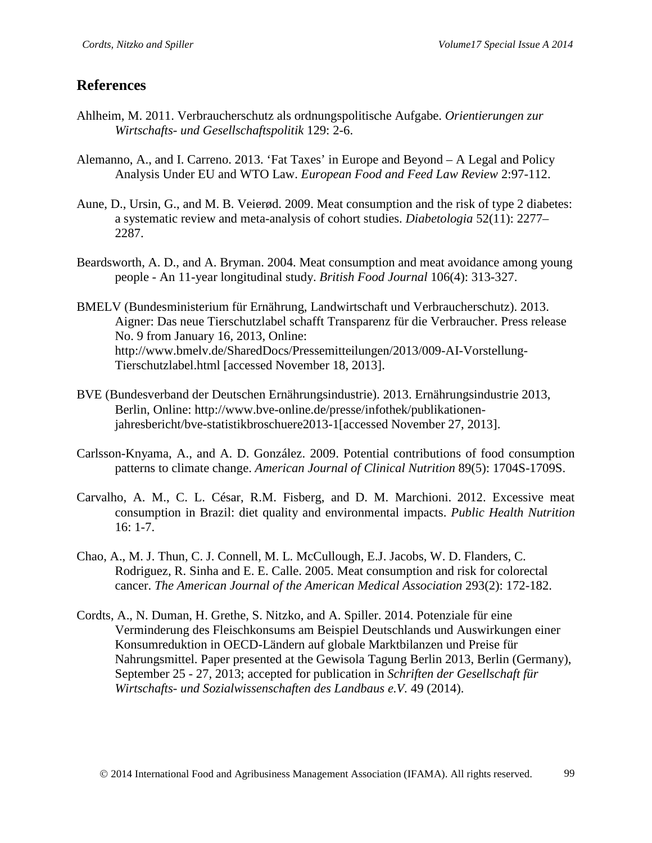## **References**

- Ahlheim, M. 2011. Verbraucherschutz als ordnungspolitische Aufgabe. *Orientierungen zur Wirtschafts- und Gesellschaftspolitik* 129: 2-6.
- Alemanno, A., and I. Carreno. 2013. 'Fat Taxes' in Europe and Beyond A Legal and Policy Analysis Under EU and WTO Law. *European Food and Feed Law Review* 2:97-112.
- Aune, D., Ursin, G., and M. B. Veierød. 2009. Meat consumption and the risk of type 2 diabetes: a systematic review and meta-analysis of cohort studies. *Diabetologia* 52(11): 2277– 2287.
- Beardsworth, A. D., and A. Bryman. 2004. Meat consumption and meat avoidance among young people - An 11-year longitudinal study. *British Food Journal* 106(4): 313-327.
- BMELV (Bundesministerium für Ernährung, Landwirtschaft und Verbraucherschutz). 2013. Aigner: Das neue Tierschutzlabel schafft Transparenz für die Verbraucher. Press release No. 9 from January 16, 2013, Online: http://www.bmelv.de/SharedDocs/Pressemitteilungen/2013/009-AI-Vorstellung-Tierschutzlabel.html [accessed November 18, 2013].
- BVE (Bundesverband der Deutschen Ernährungsindustrie). 2013. Ernährungsindustrie 2013, Berlin, Online: [http://www.bve-online.de/presse/infothek/publikationen](http://www.bve-online.de/presse/infothek/publikationen-jahresbericht/bve-statistikbroschuere2013-1)[jahresbericht/bve-statistikbroschuere2013-1\[](http://www.bve-online.de/presse/infothek/publikationen-jahresbericht/bve-statistikbroschuere2013-1)accessed November 27, 2013].
- Carlsson-Knyama, A., and A. D. González. 2009. Potential contributions of food consumption patterns to climate change. *American Journal of Clinical Nutrition* 89(5): 1704S-1709S.
- Carvalho, A. M., C. L. César, R.M. Fisberg, and D. M. Marchioni. 2012. Excessive meat consumption in Brazil: diet quality and environmental impacts. *Public Health Nutrition* 16: 1-7.
- Chao, A., M. J. Thun, C. J. Connell, M. L. McCullough, E.J. Jacobs, W. D. Flanders, C. Rodriguez, R. Sinha and E. E. Calle. 2005. Meat consumption and risk for colorectal cancer. *The American Journal of the American Medical Association* 293(2): 172-182.
- Cordts, A., N. Duman, H. Grethe, S. Nitzko, and A. Spiller. 2014. Potenziale für eine Verminderung des Fleischkonsums am Beispiel Deutschlands und Auswirkungen einer Konsumreduktion in OECD-Ländern auf globale Marktbilanzen und Preise für Nahrungsmittel. Paper presented at the Gewisola Tagung Berlin 2013, Berlin (Germany), September 25 - 27, 2013; accepted for publication in *Schriften der Gesellschaft für Wirtschafts- und Sozialwissenschaften des Landbaus e.V.* 49 (2014).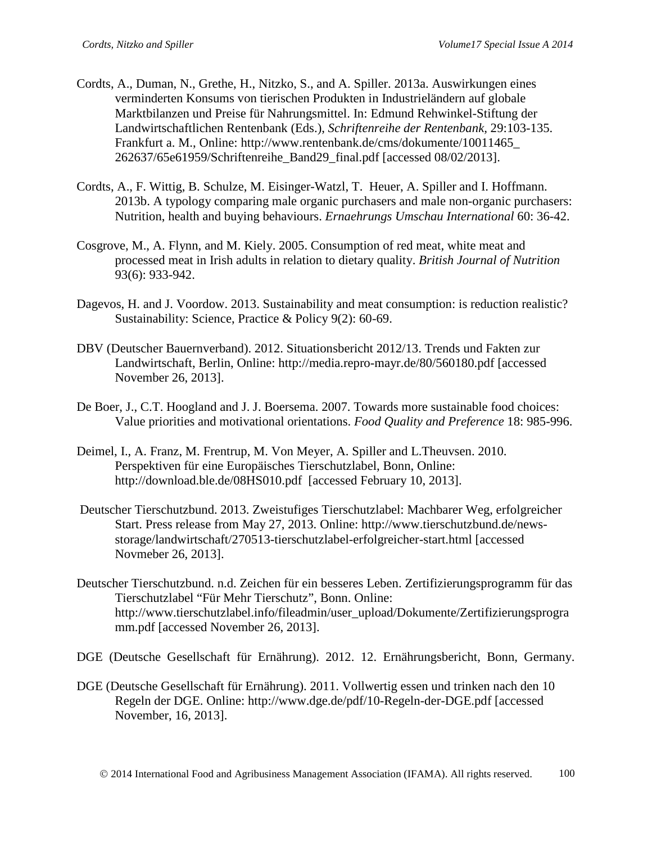- Cordts, A., Duman, N., Grethe, H., Nitzko, S., and A. Spiller. 2013a. Auswirkungen eines verminderten Konsums von tierischen Produkten in Industrieländern auf globale Marktbilanzen und Preise für Nahrungsmittel. In: Edmund Rehwinkel-Stiftung der Landwirtschaftlichen Rentenbank (Eds.), *Schriftenreihe der Rentenbank,* 29:103-135. Frankfurt a. M., Online: http://www.rentenbank.de/cms/dokumente/10011465\_ 262637/65e61959/Schriftenreihe\_Band29\_final.pdf [accessed 08/02/2013].
- Cordts, A., F. Wittig, B. Schulze, M. Eisinger-Watzl, T. Heuer, A. Spiller and I. Hoffmann. 2013b. A typology comparing male organic purchasers and male non-organic purchasers: Nutrition, health and buying behaviours. *Ernaehrungs Umschau International* 60: 36-42.
- Cosgrove, M., A. Flynn, and M. Kiely. 2005. Consumption of red meat, white meat and processed meat in Irish adults in relation to dietary quality. *British Journal of Nutrition*  93(6): 933-942.
- Dagevos, H. and J. Voordow. 2013. Sustainability and meat consumption: is reduction realistic? Sustainability: Science, Practice & Policy 9(2): 60-69.
- DBV (Deutscher Bauernverband). 2012. Situationsbericht 2012/13. Trends und Fakten zur Landwirtschaft, Berlin, Online:<http://media.repro-mayr.de/80/560180.pdf> [accessed November 26, 2013].
- De Boer, J., C.T. Hoogland and J. J. Boersema. 2007. Towards more sustainable food choices: Value priorities and motivational orientations. *Food Quality and Preference* 18: 985-996.
- Deimel, I., A. Franz, M. Frentrup, M. Von Meyer, A. Spiller and L.Theuvsen. 2010. Perspektiven für eine Europäisches Tierschutzlabel, Bonn, Online: http://download.ble.de/08HS010.pdf [accessed February 10, 2013].
- Deutscher Tierschutzbund. 2013. Zweistufiges Tierschutzlabel: Machbarer Weg, erfolgreicher Start. Press release from May 27, 2013. Online: [http://www.tierschutzbund.de/news](http://www.tierschutzbund.de/news-storage/landwirtschaft/270513-tierschutzlabel-erfolgreicher-start.html)[storage/landwirtschaft/270513-tierschutzlabel-erfolgreicher-start.html](http://www.tierschutzbund.de/news-storage/landwirtschaft/270513-tierschutzlabel-erfolgreicher-start.html) [accessed Novmeber 26, 2013].
- Deutscher Tierschutzbund. n.d. Zeichen für ein besseres Leben. Zertifizierungsprogramm für das Tierschutzlabel "Für Mehr Tierschutz", Bonn. Online: [http://www.tierschutzlabel.info/fileadmin/user\\_upload/Dokumente/Zertifizierungsprogra](http://www.tierschutzlabel.info/fileadmin/user_upload/Dokumente/Zertifizierungsprogramm.pdf) [mm.pdf](http://www.tierschutzlabel.info/fileadmin/user_upload/Dokumente/Zertifizierungsprogramm.pdf) [accessed November 26, 2013].
- DGE (Deutsche Gesellschaft für Ernährung). 2012. 12. Ernährungsbericht, Bonn, Germany.
- DGE (Deutsche Gesellschaft für Ernährung). 2011. Vollwertig essen und trinken nach den 10 Regeln der DGE. Online: http://www.dge.de/pdf/10-Regeln-der-DGE.pdf [accessed November, 16, 2013].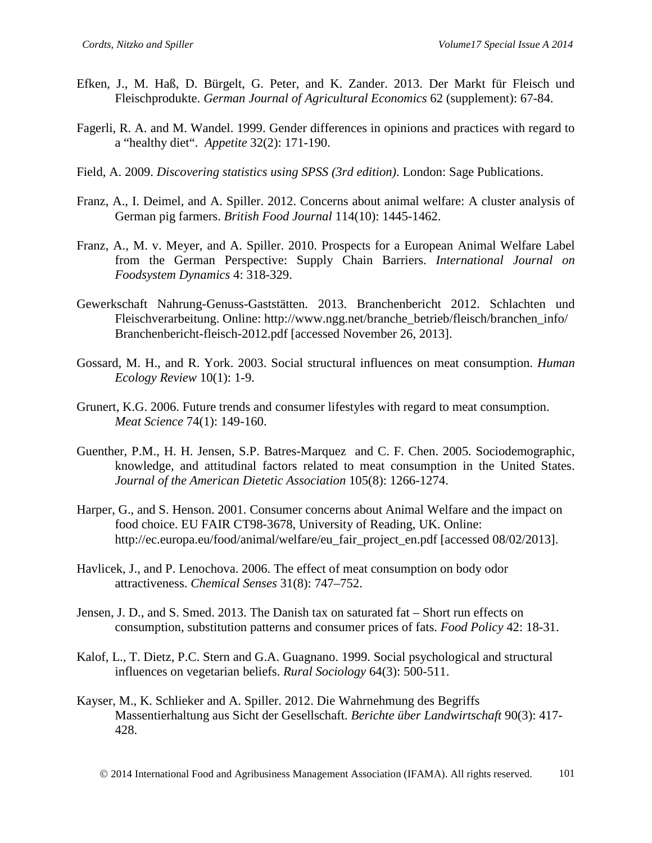- Efken, J., M. Haß, D. Bürgelt, G. Peter, and K. Zander. 2013. Der Markt für Fleisch und Fleischprodukte. *German Journal of Agricultural Economics* 62 (supplement): 67-84.
- Fagerli, R. A. and M. Wandel. 1999. Gender differences in opinions and practices with regard to a "healthy diet". *Appetite* 32(2): 171-190.
- Field, A. 2009. *Discovering statistics using SPSS (3rd edition)*. London: Sage Publications.
- Franz, A., I. Deimel, and A. Spiller. 2012. Concerns about animal welfare: A cluster analysis of German pig farmers. *British Food Journal* 114(10): 1445-1462.
- Franz, A., M. v. Meyer, and A. Spiller. 2010. Prospects for a European Animal Welfare Label from the German Perspective: Supply Chain Barriers. *International Journal on Foodsystem Dynamics* 4: 318-329.
- Gewerkschaft Nahrung-Genuss-Gaststätten. 2013. Branchenbericht 2012. Schlachten und Fleischverarbeitung. Online: http://www.ngg.net/branche\_betrieb/fleisch/branchen\_info/ Branchenbericht-fleisch-2012.pdf [accessed November 26, 2013].
- Gossard, M. H., and R. York. 2003. Social structural influences on meat consumption. *Human Ecology Review* 10(1): 1-9.
- Grunert, K.G. 2006. Future trends and consumer lifestyles with regard to meat consumption. *Meat Science* 74(1): 149-160.
- Guenther, P.M., H. H. Jensen, S.P. Batres-Marquez and C. F. Chen. 2005. Sociodemographic, knowledge, and attitudinal factors related to meat consumption in the United States. *Journal of the American Dietetic Association* 105(8): 1266-1274.
- Harper, G., and S. Henson. 2001. Consumer concerns about Animal Welfare and the impact on food choice. EU FAIR CT98-3678, University of Reading, UK. Online: http://ec.europa.eu/food/animal/welfare/eu\_fair\_project\_en.pdf [accessed 08/02/2013].
- Havlicek, J., and P. Lenochova. 2006. The effect of meat consumption on body odor attractiveness. *Chemical Senses* 31(8): 747–752.
- Jensen, J. D., and S. Smed. 2013. The Danish tax on saturated fat Short run effects on consumption, substitution patterns and consumer prices of fats. *Food Policy* 42: 18-31.
- Kalof, L., T. Dietz, P.C. Stern and G.A. Guagnano. 1999. Social psychological and structural influences on vegetarian beliefs. *Rural Sociology* 64(3): 500-511.
- Kayser, M., K. Schlieker and A. Spiller. 2012. Die Wahrnehmung des Begriffs Massentierhaltung aus Sicht der Gesellschaft. *Berichte über Landwirtschaft* 90(3): 417- 428.

2014 International Food and Agribusiness Management Association (IFAMA). All rights reserved. 101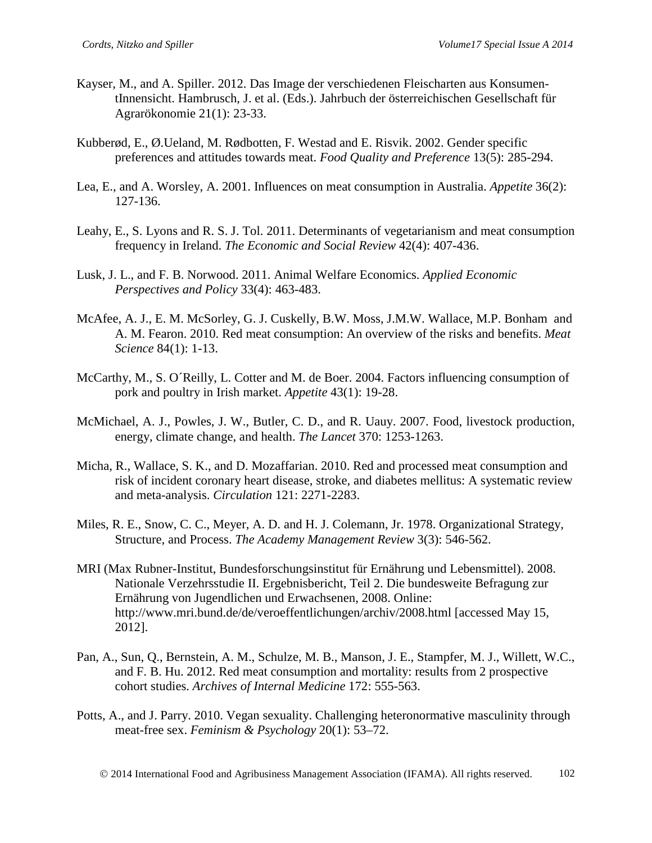- Kayser, M., and A. Spiller. 2012. Das Image der verschiedenen Fleischarten aus KonsumentInnensicht. Hambrusch, J. et al. (Eds.). Jahrbuch der österreichischen Gesellschaft für Agrarökonomie 21(1): 23-33.
- Kubberød, E., Ø.Ueland, M. Rødbotten, F. Westad and E. Risvik. 2002. Gender specific preferences and attitudes towards meat. *Food Quality and Preference* 13(5): 285-294.
- Lea, E., and A. Worsley, A. 2001. Influences on meat consumption in Australia. *Appetite* 36(2): 127-136.
- Leahy, E., S. Lyons and R. S. J. Tol. 2011. Determinants of vegetarianism and meat consumption frequency in Ireland. *The Economic and Social Review* 42(4): 407-436.
- Lusk, J. L., and F. B. Norwood. 2011. Animal Welfare Economics. *Applied Economic Perspectives and Policy* 33(4): 463-483.
- McAfee, A. J., E. M. McSorley, G. J. Cuskelly, B.W. Moss, J.M.W. Wallace, M.P. Bonham and A. M. Fearon. 2010. Red meat consumption: An overview of the risks and benefits. *Meat Science* 84(1): 1-13.
- McCarthy, M., S. O´Reilly, L. Cotter and M. de Boer. 2004. Factors influencing consumption of pork and poultry in Irish market. *Appetite* 43(1): 19-28.
- McMichael, A. J., Powles, J. W., Butler, C. D., and R. Uauy. 2007. Food, livestock production, energy, climate change, and health. *The Lancet* 370: 1253-1263.
- Micha, R., Wallace, S. K., and D. Mozaffarian. 2010. Red and processed meat consumption and risk of incident coronary heart disease, stroke, and diabetes mellitus: A systematic review and meta-analysis. *Circulation* 121: 2271-2283.
- Miles, R. E., Snow, C. C., Meyer, A. D. and H. J. Colemann, Jr. 1978. Organizational Strategy, Structure, and Process. *The Academy Management Review* 3(3): 546-562.
- MRI (Max Rubner-Institut, Bundesforschungsinstitut für Ernährung und Lebensmittel). 2008. Nationale Verzehrsstudie II. Ergebnisbericht, Teil 2. Die bundesweite Befragung zur Ernährung von Jugendlichen und Erwachsenen, 2008. Online: http://www.mri.bund.de/de/veroeffentlichungen/archiv/2008.html [accessed May 15, 2012].
- Pan, A., Sun, Q., Bernstein, A. M., Schulze, M. B., Manson, J. E., Stampfer, M. J., Willett, W.C., and F. B. Hu. 2012. Red meat consumption and mortality: results from 2 prospective cohort studies. *Archives of Internal Medicine* 172: 555-563.
- Potts, A., and J. Parry. 2010. Vegan sexuality. Challenging heteronormative masculinity through meat-free sex. *Feminism & Psychology* 20(1): 53–72.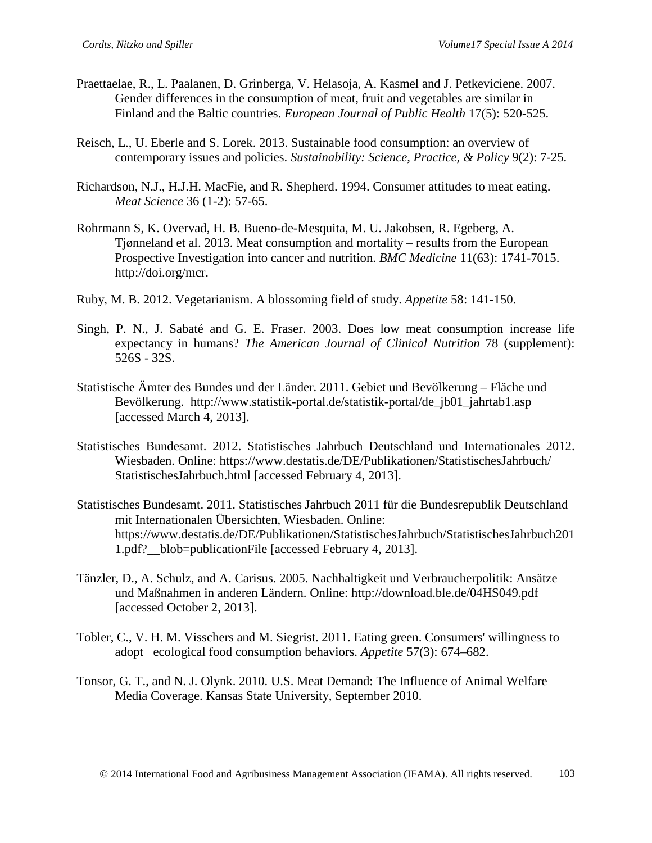- Praettaelae, R., L. Paalanen, D. Grinberga, V. Helasoja, A. Kasmel and J. Petkeviciene. 2007. Gender differences in the consumption of meat, fruit and vegetables are similar in Finland and the Baltic countries. *European Journal of Public Health* 17(5): 520-525.
- Reisch, L., U. Eberle and S. Lorek. 2013. Sustainable food consumption: an overview of contemporary issues and policies. *Sustainability: Science, Practice, & Policy* 9(2): 7-25.
- Richardson, N.J., H.J.H. MacFie, and R. Shepherd. 1994. Consumer attitudes to meat eating. *Meat Science* 36 (1-2): 57-65.
- Rohrmann S, K. Overvad, H. B. Bueno-de-Mesquita, M. U. Jakobsen, R. Egeberg, A. Tjønneland et al. 2013. Meat consumption and mortality – results from the European Prospective Investigation into cancer and nutrition. *BMC Medicine* 11(63): 1741-7015. http://doi.org/mcr.
- Ruby, M. B. 2012. Vegetarianism. A blossoming field of study. *Appetite* 58: 141-150.
- Singh, P. N., J. Sabaté and G. E. Fraser. 2003. Does low meat consumption increase life expectancy in humans? *The American Journal of Clinical Nutrition* 78 (supplement): 526S - 32S.
- Statistische Ämter des Bundes und der Länder. 2011. Gebiet und Bevölkerung Fläche und Bevölkerung. http://www.statistik-portal.de/statistik-portal/de\_jb01\_jahrtab1.asp [accessed March 4, 2013].
- Statistisches Bundesamt. 2012. Statistisches Jahrbuch Deutschland und Internationales 2012. Wiesbaden. Online: https://www.destatis.de/DE/Publikationen/StatistischesJahrbuch/ StatistischesJahrbuch.html [accessed February 4, 2013].
- Statistisches Bundesamt. 2011. Statistisches Jahrbuch 2011 für die Bundesrepublik Deutschland mit Internationalen Übersichten, Wiesbaden. Online: https://www.destatis.de/DE/Publikationen/StatistischesJahrbuch/StatistischesJahrbuch201 1.pdf?\_\_blob=publicationFile [accessed February 4, 2013].
- Tänzler, D., A. Schulz, and A. Carisus. 2005. Nachhaltigkeit und Verbraucherpolitik: Ansätze und Maßnahmen in anderen Ländern. Online: http://download.ble.de/04HS049.pdf [accessed October 2, 2013].
- Tobler, C., V. H. M. Visschers and M. Siegrist. 2011. Eating green. Consumers' willingness to adopt ecological food consumption behaviors. *Appetite* 57(3): 674–682.
- Tonsor, G. T., and N. J. Olynk. 2010. U.S. Meat Demand: The Influence of Animal Welfare Media Coverage. Kansas State University, September 2010.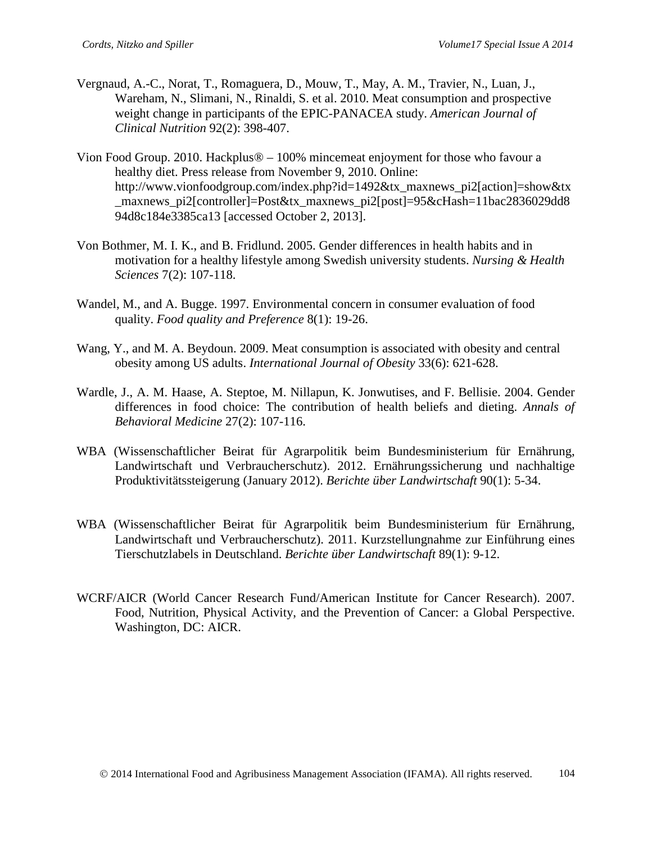- Vergnaud, A.-C., Norat, T., Romaguera, D., Mouw, T., May, A. M., Travier, N., Luan, J., Wareham, N., Slimani, N., Rinaldi, S. et al. 2010. Meat consumption and prospective weight change in participants of the EPIC-PANACEA study. *American Journal of Clinical Nutrition* 92(2): 398-407.
- Vion Food Group. 2010. Hackplus® 100% mincemeat enjoyment for those who favour a healthy diet. Press release from November 9, 2010. Online: http://www.vionfoodgroup.com/index.php?id=1492&tx\_maxnews\_pi2[action]=show&tx \_maxnews\_pi2[controller]=Post&tx\_maxnews\_pi2[post]=95&cHash=11bac2836029dd8 94d8c184e3385ca13 [accessed October 2, 2013].
- Von Bothmer, M. I. K., and B. Fridlund. 2005. Gender differences in health habits and in motivation for a healthy lifestyle among Swedish university students. *Nursing & Health Sciences* 7(2): 107-118.
- Wandel, M., and A. Bugge. 1997. Environmental concern in consumer evaluation of food quality. *Food quality and Preference* 8(1): 19-26.
- Wang, Y., and M. A. Beydoun. 2009. Meat consumption is associated with obesity and central obesity among US adults. *International Journal of Obesity* 33(6): 621-628.
- Wardle, J., A. M. Haase, A. Steptoe, M. Nillapun, K. Jonwutises, and F. Bellisie. 2004. Gender differences in food choice: The contribution of health beliefs and dieting. *Annals of Behavioral Medicine* 27(2): 107-116.
- WBA (Wissenschaftlicher Beirat für Agrarpolitik beim Bundesministerium für Ernährung, Landwirtschaft und Verbraucherschutz). 2012. Ernährungssicherung und nachhaltige Produktivitätssteigerung (January 2012). *Berichte über Landwirtschaft* 90(1): 5-34.
- WBA (Wissenschaftlicher Beirat für Agrarpolitik beim Bundesministerium für Ernährung, Landwirtschaft und Verbraucherschutz). 2011. Kurzstellungnahme zur Einführung eines Tierschutzlabels in Deutschland. *Berichte über Landwirtschaft* 89(1): 9-12.
- WCRF/AICR (World Cancer Research Fund/American Institute for Cancer Research). 2007. Food, Nutrition, Physical Activity, and the Prevention of Cancer: a Global Perspective. Washington, DC: AICR.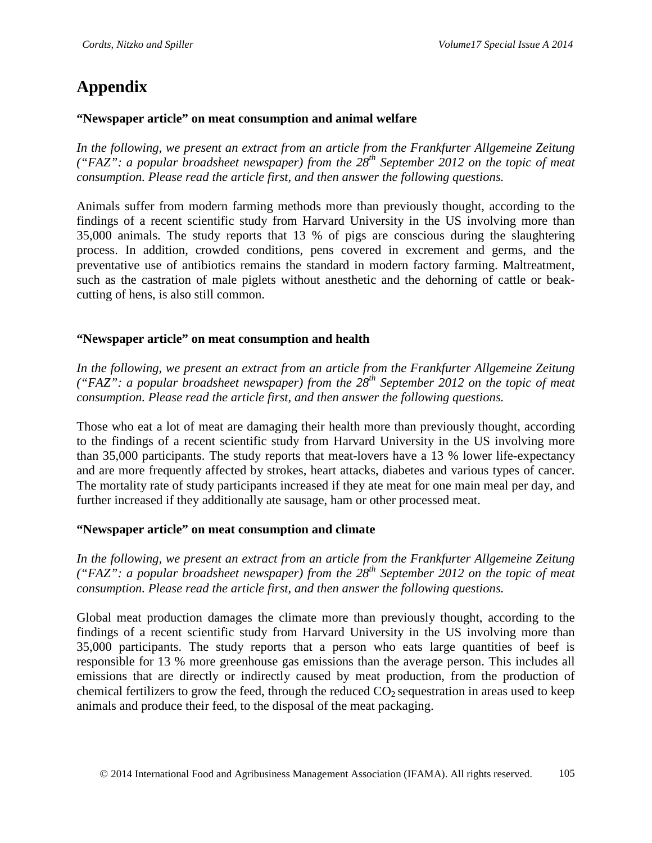# **Appendix**

## **"Newspaper article" on meat consumption and animal welfare**

*In the following, we present an extract from an article from the Frankfurter Allgemeine Zeitung ("FAZ": a popular broadsheet newspaper) from the 28th September 2012 on the topic of meat consumption. Please read the article first, and then answer the following questions.*

Animals suffer from modern farming methods more than previously thought, according to the findings of a recent scientific study from Harvard University in the US involving more than 35,000 animals. The study reports that 13 % of pigs are conscious during the slaughtering process. In addition, crowded conditions, pens covered in excrement and germs, and the preventative use of antibiotics remains the standard in modern factory farming. Maltreatment, such as the castration of male piglets without anesthetic and the dehorning of cattle or beakcutting of hens, is also still common.

## **"Newspaper article" on meat consumption and health**

*In the following, we present an extract from an article from the Frankfurter Allgemeine Zeitung ("FAZ": a popular broadsheet newspaper) from the 28th September 2012 on the topic of meat consumption. Please read the article first, and then answer the following questions.*

Those who eat a lot of meat are damaging their health more than previously thought, according to the findings of a recent scientific study from Harvard University in the US involving more than 35,000 participants. The study reports that meat-lovers have a 13 % lower life-expectancy and are more frequently affected by strokes, heart attacks, diabetes and various types of cancer. The mortality rate of study participants increased if they ate meat for one main meal per day, and further increased if they additionally ate sausage, ham or other processed meat.

## **"Newspaper article" on meat consumption and climate**

*In the following, we present an extract from an article from the Frankfurter Allgemeine Zeitung ("FAZ": a popular broadsheet newspaper) from the 28th September 2012 on the topic of meat consumption. Please read the article first, and then answer the following questions.*

Global meat production damages the climate more than previously thought, according to the findings of a recent scientific study from Harvard University in the US involving more than 35,000 participants. The study reports that a person who eats large quantities of beef is responsible for 13 % more greenhouse gas emissions than the average person. This includes all emissions that are directly or indirectly caused by meat production, from the production of chemical fertilizers to grow the feed, through the reduced  $CO<sub>2</sub>$  sequestration in areas used to keep animals and produce their feed, to the disposal of the meat packaging.